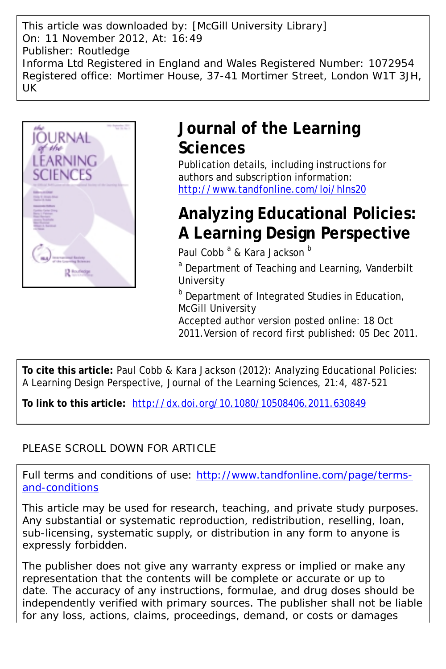This article was downloaded by: [McGill University Library] On: 11 November 2012, At: 16:49 Publisher: Routledge Informa Ltd Registered in England and Wales Registered Number: 1072954 Registered office: Mortimer House, 37-41 Mortimer Street, London W1T 3JH, UK



# **Journal of the Learning Sciences**

Publication details, including instructions for authors and subscription information: <http://www.tandfonline.com/loi/hlns20>

# **Analyzing Educational Policies: A Learning Design Perspective**

Paul Cobb<sup>a</sup> & Kara Jackson <sup>b</sup>

<sup>a</sup> Department of Teaching and Learning, Vanderbilt **University** 

**b** Department of Integrated Studies in Education, McGill University

Accepted author version posted online: 18 Oct 2011.Version of record first published: 05 Dec 2011.

**To cite this article:** Paul Cobb & Kara Jackson (2012): Analyzing Educational Policies: A Learning Design Perspective, Journal of the Learning Sciences, 21:4, 487-521

**To link to this article:** <http://dx.doi.org/10.1080/10508406.2011.630849>

## PLEASE SCROLL DOWN FOR ARTICLE

Full terms and conditions of use: [http://www.tandfonline.com/page/terms](http://www.tandfonline.com/page/terms-and-conditions)[and-conditions](http://www.tandfonline.com/page/terms-and-conditions)

This article may be used for research, teaching, and private study purposes. Any substantial or systematic reproduction, redistribution, reselling, loan, sub-licensing, systematic supply, or distribution in any form to anyone is expressly forbidden.

The publisher does not give any warranty express or implied or make any representation that the contents will be complete or accurate or up to date. The accuracy of any instructions, formulae, and drug doses should be independently verified with primary sources. The publisher shall not be liable for any loss, actions, claims, proceedings, demand, or costs or damages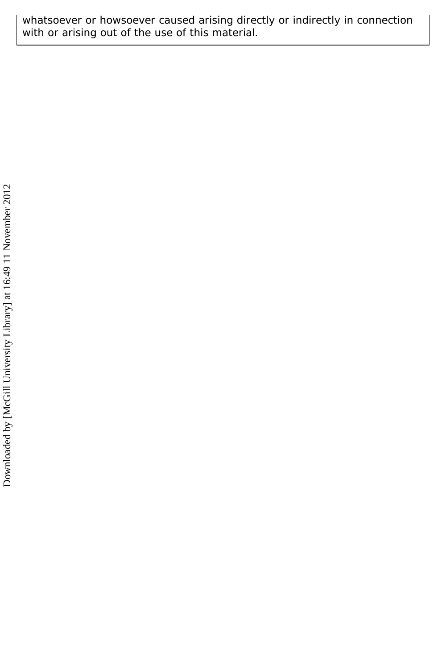whatsoever or howsoever caused arising directly or indirectly in connection with or arising out of the use of this material.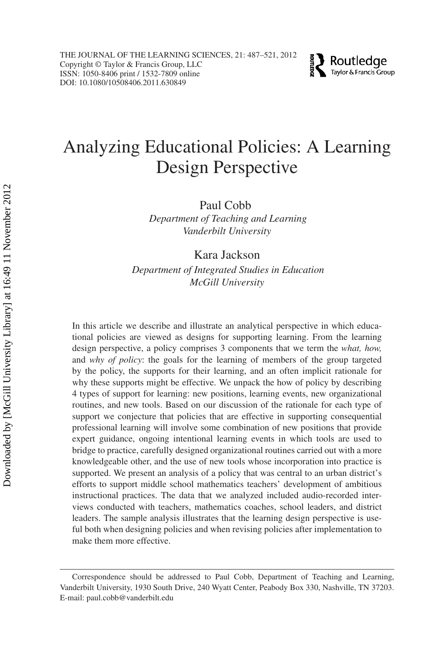

# Analyzing Educational Policies: A Learning Design Perspective

Paul Cobb

*Department of Teaching and Learning Vanderbilt University*

Kara Jackson

*Department of Integrated Studies in Education McGill University*

In this article we describe and illustrate an analytical perspective in which educational policies are viewed as designs for supporting learning. From the learning design perspective, a policy comprises 3 components that we term the *what, how,* and *why of policy*: the goals for the learning of members of the group targeted by the policy, the supports for their learning, and an often implicit rationale for why these supports might be effective. We unpack the how of policy by describing 4 types of support for learning: new positions, learning events, new organizational routines, and new tools. Based on our discussion of the rationale for each type of support we conjecture that policies that are effective in supporting consequential professional learning will involve some combination of new positions that provide expert guidance, ongoing intentional learning events in which tools are used to bridge to practice, carefully designed organizational routines carried out with a more knowledgeable other, and the use of new tools whose incorporation into practice is supported. We present an analysis of a policy that was central to an urban district's efforts to support middle school mathematics teachers' development of ambitious instructional practices. The data that we analyzed included audio-recorded interviews conducted with teachers, mathematics coaches, school leaders, and district leaders. The sample analysis illustrates that the learning design perspective is useful both when designing policies and when revising policies after implementation to make them more effective.

Correspondence should be addressed to Paul Cobb, Department of Teaching and Learning, Vanderbilt University, 1930 South Drive, 240 Wyatt Center, Peabody Box 330, Nashville, TN 37203. E-mail: paul.cobb@vanderbilt.edu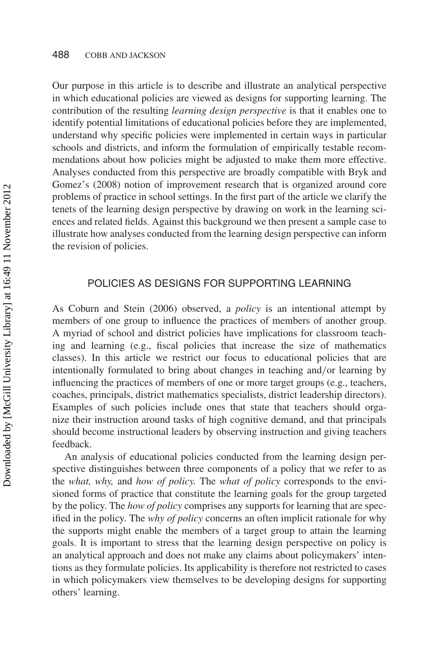Our purpose in this article is to describe and illustrate an analytical perspective in which educational policies are viewed as designs for supporting learning. The contribution of the resulting *learning design perspective* is that it enables one to identify potential limitations of educational policies before they are implemented, understand why specific policies were implemented in certain ways in particular schools and districts, and inform the formulation of empirically testable recommendations about how policies might be adjusted to make them more effective. Analyses conducted from this perspective are broadly compatible with Bryk and Gomez's (2008) notion of improvement research that is organized around core problems of practice in school settings. In the first part of the article we clarify the tenets of the learning design perspective by drawing on work in the learning sciences and related fields. Against this background we then present a sample case to illustrate how analyses conducted from the learning design perspective can inform the revision of policies.

## POLICIES AS DESIGNS FOR SUPPORTING LEARNING

As Coburn and Stein (2006) observed, a *policy* is an intentional attempt by members of one group to influence the practices of members of another group. A myriad of school and district policies have implications for classroom teaching and learning (e.g., fiscal policies that increase the size of mathematics classes). In this article we restrict our focus to educational policies that are intentionally formulated to bring about changes in teaching and*/*or learning by influencing the practices of members of one or more target groups (e.g., teachers, coaches, principals, district mathematics specialists, district leadership directors). Examples of such policies include ones that state that teachers should organize their instruction around tasks of high cognitive demand, and that principals should become instructional leaders by observing instruction and giving teachers feedback.

An analysis of educational policies conducted from the learning design perspective distinguishes between three components of a policy that we refer to as the *what, why,* and *how of policy.* The *what of policy* corresponds to the envisioned forms of practice that constitute the learning goals for the group targeted by the policy. The *how of policy* comprises any supports for learning that are specified in the policy. The *why of policy* concerns an often implicit rationale for why the supports might enable the members of a target group to attain the learning goals. It is important to stress that the learning design perspective on policy is an analytical approach and does not make any claims about policymakers' intentions as they formulate policies. Its applicability is therefore not restricted to cases in which policymakers view themselves to be developing designs for supporting others' learning.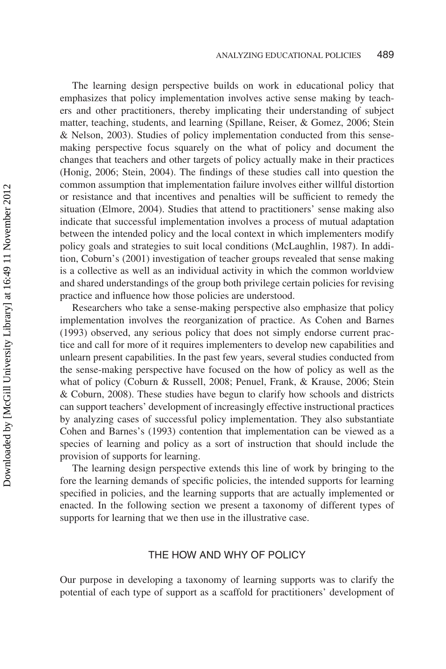The learning design perspective builds on work in educational policy that emphasizes that policy implementation involves active sense making by teachers and other practitioners, thereby implicating their understanding of subject matter, teaching, students, and learning (Spillane, Reiser, & Gomez, 2006; Stein & Nelson, 2003). Studies of policy implementation conducted from this sensemaking perspective focus squarely on the what of policy and document the changes that teachers and other targets of policy actually make in their practices (Honig, 2006; Stein, 2004). The findings of these studies call into question the common assumption that implementation failure involves either willful distortion or resistance and that incentives and penalties will be sufficient to remedy the situation (Elmore, 2004). Studies that attend to practitioners' sense making also indicate that successful implementation involves a process of mutual adaptation between the intended policy and the local context in which implementers modify policy goals and strategies to suit local conditions (McLaughlin, 1987). In addition, Coburn's (2001) investigation of teacher groups revealed that sense making is a collective as well as an individual activity in which the common worldview and shared understandings of the group both privilege certain policies for revising practice and influence how those policies are understood.

Researchers who take a sense-making perspective also emphasize that policy implementation involves the reorganization of practice. As Cohen and Barnes (1993) observed, any serious policy that does not simply endorse current practice and call for more of it requires implementers to develop new capabilities and unlearn present capabilities. In the past few years, several studies conducted from the sense-making perspective have focused on the how of policy as well as the what of policy (Coburn & Russell, 2008; Penuel, Frank, & Krause, 2006; Stein & Coburn, 2008). These studies have begun to clarify how schools and districts can support teachers' development of increasingly effective instructional practices by analyzing cases of successful policy implementation. They also substantiate Cohen and Barnes's (1993) contention that implementation can be viewed as a species of learning and policy as a sort of instruction that should include the provision of supports for learning.

The learning design perspective extends this line of work by bringing to the fore the learning demands of specific policies, the intended supports for learning specified in policies, and the learning supports that are actually implemented or enacted. In the following section we present a taxonomy of different types of supports for learning that we then use in the illustrative case.

## THE HOW AND WHY OF POLICY

Our purpose in developing a taxonomy of learning supports was to clarify the potential of each type of support as a scaffold for practitioners' development of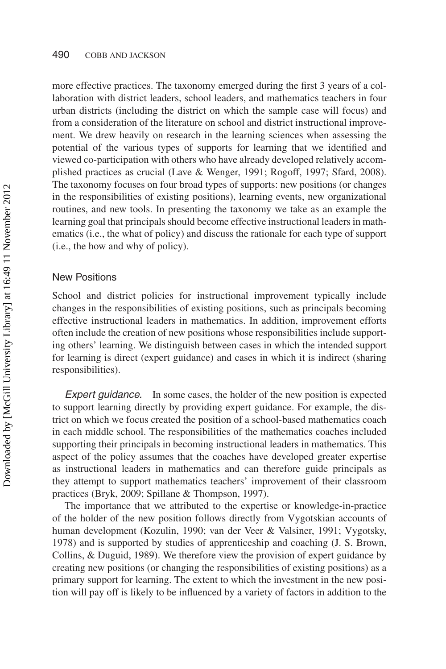more effective practices. The taxonomy emerged during the first 3 years of a collaboration with district leaders, school leaders, and mathematics teachers in four urban districts (including the district on which the sample case will focus) and from a consideration of the literature on school and district instructional improvement. We drew heavily on research in the learning sciences when assessing the potential of the various types of supports for learning that we identified and viewed co-participation with others who have already developed relatively accomplished practices as crucial (Lave & Wenger, 1991; Rogoff, 1997; Sfard, 2008). The taxonomy focuses on four broad types of supports: new positions (or changes in the responsibilities of existing positions), learning events, new organizational routines, and new tools. In presenting the taxonomy we take as an example the learning goal that principals should become effective instructional leaders in mathematics (i.e., the what of policy) and discuss the rationale for each type of support (i.e., the how and why of policy).

#### New Positions

School and district policies for instructional improvement typically include changes in the responsibilities of existing positions, such as principals becoming effective instructional leaders in mathematics. In addition, improvement efforts often include the creation of new positions whose responsibilities include supporting others' learning. We distinguish between cases in which the intended support for learning is direct (expert guidance) and cases in which it is indirect (sharing responsibilities).

*Expert guidance.* In some cases, the holder of the new position is expected to support learning directly by providing expert guidance. For example, the district on which we focus created the position of a school-based mathematics coach in each middle school. The responsibilities of the mathematics coaches included supporting their principals in becoming instructional leaders in mathematics. This aspect of the policy assumes that the coaches have developed greater expertise as instructional leaders in mathematics and can therefore guide principals as they attempt to support mathematics teachers' improvement of their classroom practices (Bryk, 2009; Spillane & Thompson, 1997).

The importance that we attributed to the expertise or knowledge-in-practice of the holder of the new position follows directly from Vygotskian accounts of human development (Kozulin, 1990; van der Veer & Valsiner, 1991; Vygotsky, 1978) and is supported by studies of apprenticeship and coaching (J. S. Brown, Collins, & Duguid, 1989). We therefore view the provision of expert guidance by creating new positions (or changing the responsibilities of existing positions) as a primary support for learning. The extent to which the investment in the new position will pay off is likely to be influenced by a variety of factors in addition to the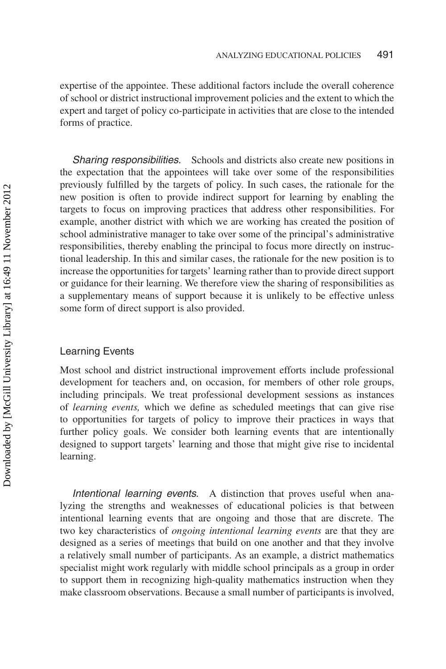expertise of the appointee. These additional factors include the overall coherence of school or district instructional improvement policies and the extent to which the expert and target of policy co-participate in activities that are close to the intended forms of practice.

*Sharing responsibilities.* Schools and districts also create new positions in the expectation that the appointees will take over some of the responsibilities previously fulfilled by the targets of policy. In such cases, the rationale for the new position is often to provide indirect support for learning by enabling the targets to focus on improving practices that address other responsibilities. For example, another district with which we are working has created the position of school administrative manager to take over some of the principal's administrative responsibilities, thereby enabling the principal to focus more directly on instructional leadership. In this and similar cases, the rationale for the new position is to increase the opportunities for targets' learning rather than to provide direct support or guidance for their learning. We therefore view the sharing of responsibilities as a supplementary means of support because it is unlikely to be effective unless some form of direct support is also provided.

#### Learning Events

Most school and district instructional improvement efforts include professional development for teachers and, on occasion, for members of other role groups, including principals. We treat professional development sessions as instances of *learning events,* which we define as scheduled meetings that can give rise to opportunities for targets of policy to improve their practices in ways that further policy goals. We consider both learning events that are intentionally designed to support targets' learning and those that might give rise to incidental learning.

*Intentional learning events.* A distinction that proves useful when analyzing the strengths and weaknesses of educational policies is that between intentional learning events that are ongoing and those that are discrete. The two key characteristics of *ongoing intentional learning events* are that they are designed as a series of meetings that build on one another and that they involve a relatively small number of participants. As an example, a district mathematics specialist might work regularly with middle school principals as a group in order to support them in recognizing high-quality mathematics instruction when they make classroom observations. Because a small number of participants is involved,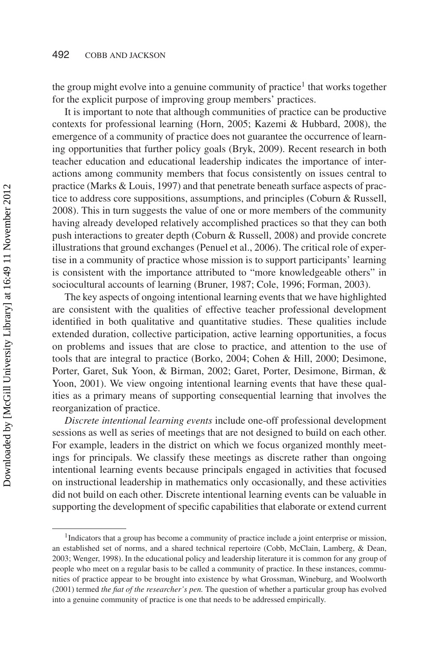the group might evolve into a genuine community of practice<sup>1</sup> that works together for the explicit purpose of improving group members' practices.

It is important to note that although communities of practice can be productive contexts for professional learning (Horn, 2005; Kazemi & Hubbard, 2008), the emergence of a community of practice does not guarantee the occurrence of learning opportunities that further policy goals (Bryk, 2009). Recent research in both teacher education and educational leadership indicates the importance of interactions among community members that focus consistently on issues central to practice (Marks & Louis, 1997) and that penetrate beneath surface aspects of practice to address core suppositions, assumptions, and principles (Coburn & Russell, 2008). This in turn suggests the value of one or more members of the community having already developed relatively accomplished practices so that they can both push interactions to greater depth (Coburn & Russell, 2008) and provide concrete illustrations that ground exchanges (Penuel et al., 2006). The critical role of expertise in a community of practice whose mission is to support participants' learning is consistent with the importance attributed to "more knowledgeable others" in sociocultural accounts of learning (Bruner, 1987; Cole, 1996; Forman, 2003).

The key aspects of ongoing intentional learning events that we have highlighted are consistent with the qualities of effective teacher professional development identified in both qualitative and quantitative studies. These qualities include extended duration, collective participation, active learning opportunities, a focus on problems and issues that are close to practice, and attention to the use of tools that are integral to practice (Borko, 2004; Cohen & Hill, 2000; Desimone, Porter, Garet, Suk Yoon, & Birman, 2002; Garet, Porter, Desimone, Birman, & Yoon, 2001). We view ongoing intentional learning events that have these qualities as a primary means of supporting consequential learning that involves the reorganization of practice.

*Discrete intentional learning events* include one-off professional development sessions as well as series of meetings that are not designed to build on each other. For example, leaders in the district on which we focus organized monthly meetings for principals. We classify these meetings as discrete rather than ongoing intentional learning events because principals engaged in activities that focused on instructional leadership in mathematics only occasionally, and these activities did not build on each other. Discrete intentional learning events can be valuable in supporting the development of specific capabilities that elaborate or extend current

 $<sup>1</sup>$ Indicators that a group has become a community of practice include a joint enterprise or mission,</sup> an established set of norms, and a shared technical repertoire (Cobb, McClain, Lamberg, & Dean, 2003; Wenger, 1998). In the educational policy and leadership literature it is common for any group of people who meet on a regular basis to be called a community of practice. In these instances, communities of practice appear to be brought into existence by what Grossman, Wineburg, and Woolworth (2001) termed *the fiat of the researcher's pen.* The question of whether a particular group has evolved into a genuine community of practice is one that needs to be addressed empirically.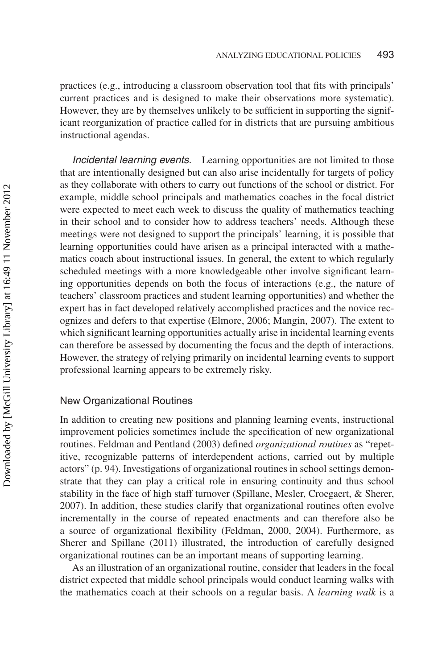practices (e.g., introducing a classroom observation tool that fits with principals' current practices and is designed to make their observations more systematic). However, they are by themselves unlikely to be sufficient in supporting the significant reorganization of practice called for in districts that are pursuing ambitious instructional agendas.

*Incidental learning events.* Learning opportunities are not limited to those that are intentionally designed but can also arise incidentally for targets of policy as they collaborate with others to carry out functions of the school or district. For example, middle school principals and mathematics coaches in the focal district were expected to meet each week to discuss the quality of mathematics teaching in their school and to consider how to address teachers' needs. Although these meetings were not designed to support the principals' learning, it is possible that learning opportunities could have arisen as a principal interacted with a mathematics coach about instructional issues. In general, the extent to which regularly scheduled meetings with a more knowledgeable other involve significant learning opportunities depends on both the focus of interactions (e.g., the nature of teachers' classroom practices and student learning opportunities) and whether the expert has in fact developed relatively accomplished practices and the novice recognizes and defers to that expertise (Elmore, 2006; Mangin, 2007). The extent to which significant learning opportunities actually arise in incidental learning events can therefore be assessed by documenting the focus and the depth of interactions. However, the strategy of relying primarily on incidental learning events to support professional learning appears to be extremely risky.

## New Organizational Routines

In addition to creating new positions and planning learning events, instructional improvement policies sometimes include the specification of new organizational routines. Feldman and Pentland (2003) defined *organizational routines* as "repetitive, recognizable patterns of interdependent actions, carried out by multiple actors" (p. 94). Investigations of organizational routines in school settings demonstrate that they can play a critical role in ensuring continuity and thus school stability in the face of high staff turnover (Spillane, Mesler, Croegaert, & Sherer, 2007). In addition, these studies clarify that organizational routines often evolve incrementally in the course of repeated enactments and can therefore also be a source of organizational flexibility (Feldman, 2000, 2004). Furthermore, as Sherer and Spillane (2011) illustrated, the introduction of carefully designed organizational routines can be an important means of supporting learning.

As an illustration of an organizational routine, consider that leaders in the focal district expected that middle school principals would conduct learning walks with the mathematics coach at their schools on a regular basis. A *learning walk* is a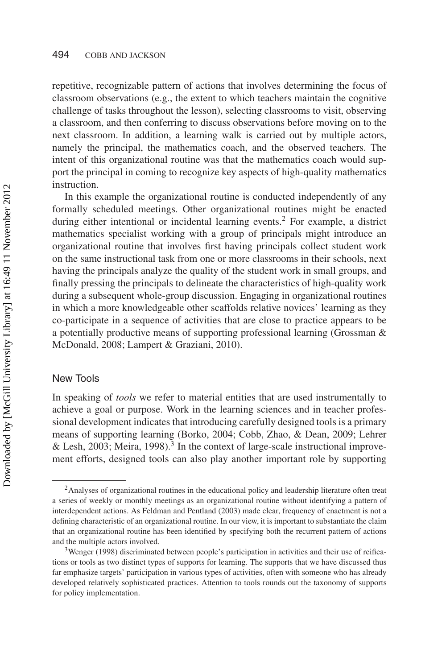repetitive, recognizable pattern of actions that involves determining the focus of classroom observations (e.g., the extent to which teachers maintain the cognitive challenge of tasks throughout the lesson), selecting classrooms to visit, observing a classroom, and then conferring to discuss observations before moving on to the next classroom. In addition, a learning walk is carried out by multiple actors, namely the principal, the mathematics coach, and the observed teachers. The intent of this organizational routine was that the mathematics coach would support the principal in coming to recognize key aspects of high-quality mathematics instruction.

In this example the organizational routine is conducted independently of any formally scheduled meetings. Other organizational routines might be enacted during either intentional or incidental learning events.<sup>2</sup> For example, a district mathematics specialist working with a group of principals might introduce an organizational routine that involves first having principals collect student work on the same instructional task from one or more classrooms in their schools, next having the principals analyze the quality of the student work in small groups, and finally pressing the principals to delineate the characteristics of high-quality work during a subsequent whole-group discussion. Engaging in organizational routines in which a more knowledgeable other scaffolds relative novices' learning as they co-participate in a sequence of activities that are close to practice appears to be a potentially productive means of supporting professional learning (Grossman & McDonald, 2008; Lampert & Graziani, 2010).

#### New Tools

In speaking of *tools* we refer to material entities that are used instrumentally to achieve a goal or purpose. Work in the learning sciences and in teacher professional development indicates that introducing carefully designed tools is a primary means of supporting learning (Borko, 2004; Cobb, Zhao, & Dean, 2009; Lehrer & Lesh, 2003; Meira, 1998).<sup>3</sup> In the context of large-scale instructional improvement efforts, designed tools can also play another important role by supporting

<sup>&</sup>lt;sup>2</sup> Analyses of organizational routines in the educational policy and leadership literature often treat a series of weekly or monthly meetings as an organizational routine without identifying a pattern of interdependent actions. As Feldman and Pentland (2003) made clear, frequency of enactment is not a defining characteristic of an organizational routine. In our view, it is important to substantiate the claim that an organizational routine has been identified by specifying both the recurrent pattern of actions and the multiple actors involved.

<sup>&</sup>lt;sup>3</sup>Wenger (1998) discriminated between people's participation in activities and their use of reifications or tools as two distinct types of supports for learning. The supports that we have discussed thus far emphasize targets' participation in various types of activities, often with someone who has already developed relatively sophisticated practices. Attention to tools rounds out the taxonomy of supports for policy implementation.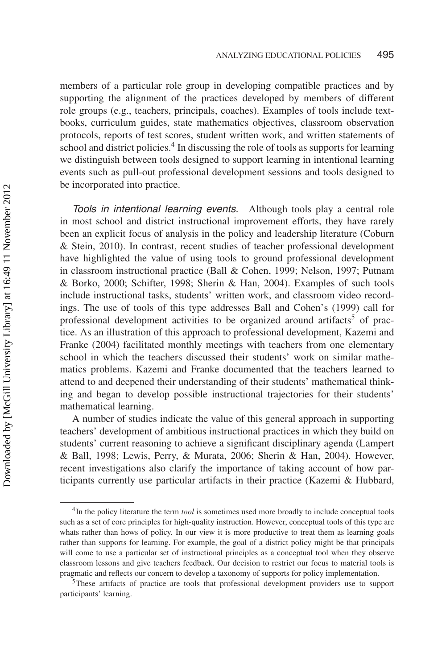members of a particular role group in developing compatible practices and by supporting the alignment of the practices developed by members of different role groups (e.g., teachers, principals, coaches). Examples of tools include textbooks, curriculum guides, state mathematics objectives, classroom observation protocols, reports of test scores, student written work, and written statements of school and district policies.<sup>4</sup> In discussing the role of tools as supports for learning we distinguish between tools designed to support learning in intentional learning events such as pull-out professional development sessions and tools designed to be incorporated into practice.

*Tools in intentional learning events.* Although tools play a central role in most school and district instructional improvement efforts, they have rarely been an explicit focus of analysis in the policy and leadership literature (Coburn & Stein, 2010). In contrast, recent studies of teacher professional development have highlighted the value of using tools to ground professional development in classroom instructional practice (Ball & Cohen, 1999; Nelson, 1997; Putnam & Borko, 2000; Schifter, 1998; Sherin & Han, 2004). Examples of such tools include instructional tasks, students' written work, and classroom video recordings. The use of tools of this type addresses Ball and Cohen's (1999) call for professional development activities to be organized around artifacts<sup>5</sup> of practice. As an illustration of this approach to professional development, Kazemi and Franke (2004) facilitated monthly meetings with teachers from one elementary school in which the teachers discussed their students' work on similar mathematics problems. Kazemi and Franke documented that the teachers learned to attend to and deepened their understanding of their students' mathematical thinking and began to develop possible instructional trajectories for their students' mathematical learning.

A number of studies indicate the value of this general approach in supporting teachers' development of ambitious instructional practices in which they build on students' current reasoning to achieve a significant disciplinary agenda (Lampert & Ball, 1998; Lewis, Perry, & Murata, 2006; Sherin & Han, 2004). However, recent investigations also clarify the importance of taking account of how participants currently use particular artifacts in their practice (Kazemi & Hubbard,

<sup>4</sup>In the policy literature the term *tool* is sometimes used more broadly to include conceptual tools such as a set of core principles for high-quality instruction. However, conceptual tools of this type are whats rather than hows of policy. In our view it is more productive to treat them as learning goals rather than supports for learning. For example, the goal of a district policy might be that principals will come to use a particular set of instructional principles as a conceptual tool when they observe classroom lessons and give teachers feedback. Our decision to restrict our focus to material tools is pragmatic and reflects our concern to develop a taxonomy of supports for policy implementation.

<sup>&</sup>lt;sup>5</sup>These artifacts of practice are tools that professional development providers use to support participants' learning.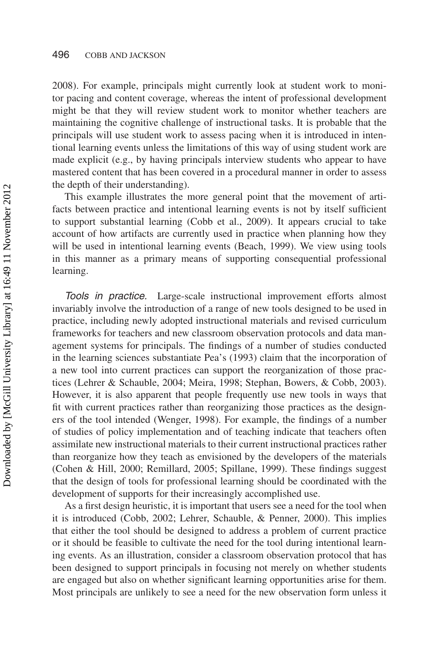2008). For example, principals might currently look at student work to monitor pacing and content coverage, whereas the intent of professional development might be that they will review student work to monitor whether teachers are maintaining the cognitive challenge of instructional tasks. It is probable that the principals will use student work to assess pacing when it is introduced in intentional learning events unless the limitations of this way of using student work are made explicit (e.g., by having principals interview students who appear to have mastered content that has been covered in a procedural manner in order to assess the depth of their understanding).

This example illustrates the more general point that the movement of artifacts between practice and intentional learning events is not by itself sufficient to support substantial learning (Cobb et al., 2009). It appears crucial to take account of how artifacts are currently used in practice when planning how they will be used in intentional learning events (Beach, 1999). We view using tools in this manner as a primary means of supporting consequential professional learning.

*Tools in practice.* Large-scale instructional improvement efforts almost invariably involve the introduction of a range of new tools designed to be used in practice, including newly adopted instructional materials and revised curriculum frameworks for teachers and new classroom observation protocols and data management systems for principals. The findings of a number of studies conducted in the learning sciences substantiate Pea's (1993) claim that the incorporation of a new tool into current practices can support the reorganization of those practices (Lehrer & Schauble, 2004; Meira, 1998; Stephan, Bowers, & Cobb, 2003). However, it is also apparent that people frequently use new tools in ways that fit with current practices rather than reorganizing those practices as the designers of the tool intended (Wenger, 1998). For example, the findings of a number of studies of policy implementation and of teaching indicate that teachers often assimilate new instructional materials to their current instructional practices rather than reorganize how they teach as envisioned by the developers of the materials (Cohen & Hill, 2000; Remillard, 2005; Spillane, 1999). These findings suggest that the design of tools for professional learning should be coordinated with the development of supports for their increasingly accomplished use.

As a first design heuristic, it is important that users see a need for the tool when it is introduced (Cobb, 2002; Lehrer, Schauble, & Penner, 2000). This implies that either the tool should be designed to address a problem of current practice or it should be feasible to cultivate the need for the tool during intentional learning events. As an illustration, consider a classroom observation protocol that has been designed to support principals in focusing not merely on whether students are engaged but also on whether significant learning opportunities arise for them. Most principals are unlikely to see a need for the new observation form unless it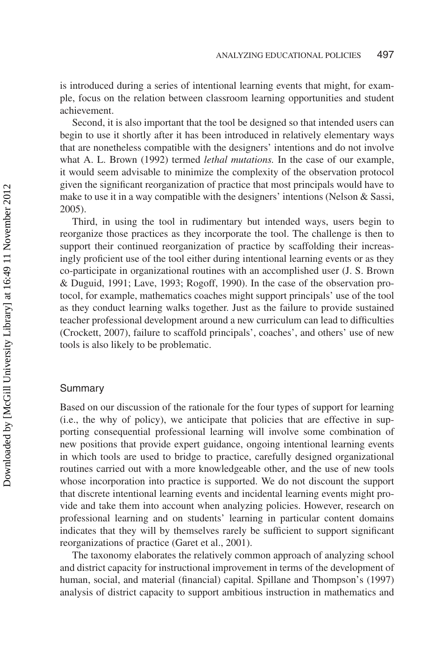is introduced during a series of intentional learning events that might, for example, focus on the relation between classroom learning opportunities and student achievement.

Second, it is also important that the tool be designed so that intended users can begin to use it shortly after it has been introduced in relatively elementary ways that are nonetheless compatible with the designers' intentions and do not involve what A. L. Brown (1992) termed *lethal mutations.* In the case of our example, it would seem advisable to minimize the complexity of the observation protocol given the significant reorganization of practice that most principals would have to make to use it in a way compatible with the designers' intentions (Nelson & Sassi, 2005).

Third, in using the tool in rudimentary but intended ways, users begin to reorganize those practices as they incorporate the tool. The challenge is then to support their continued reorganization of practice by scaffolding their increasingly proficient use of the tool either during intentional learning events or as they co-participate in organizational routines with an accomplished user (J. S. Brown & Duguid, 1991; Lave, 1993; Rogoff, 1990). In the case of the observation protocol, for example, mathematics coaches might support principals' use of the tool as they conduct learning walks together. Just as the failure to provide sustained teacher professional development around a new curriculum can lead to difficulties (Crockett, 2007), failure to scaffold principals', coaches', and others' use of new tools is also likely to be problematic.

#### Summary

Based on our discussion of the rationale for the four types of support for learning (i.e., the why of policy), we anticipate that policies that are effective in supporting consequential professional learning will involve some combination of new positions that provide expert guidance, ongoing intentional learning events in which tools are used to bridge to practice, carefully designed organizational routines carried out with a more knowledgeable other, and the use of new tools whose incorporation into practice is supported. We do not discount the support that discrete intentional learning events and incidental learning events might provide and take them into account when analyzing policies. However, research on professional learning and on students' learning in particular content domains indicates that they will by themselves rarely be sufficient to support significant reorganizations of practice (Garet et al., 2001).

The taxonomy elaborates the relatively common approach of analyzing school and district capacity for instructional improvement in terms of the development of human, social, and material (financial) capital. Spillane and Thompson's (1997) analysis of district capacity to support ambitious instruction in mathematics and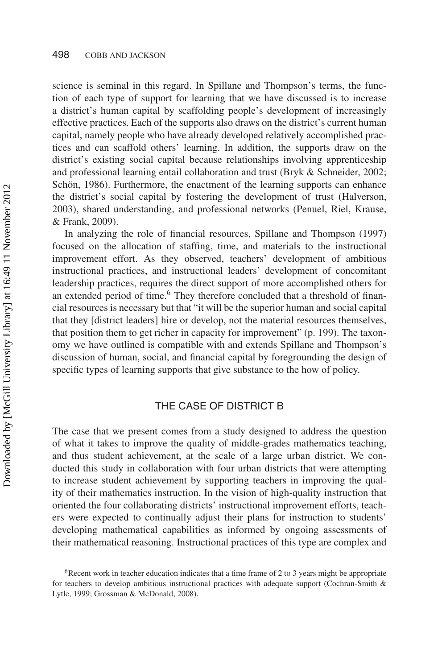science is seminal in this regard. In Spillane and Thompson's terms, the function of each type of support for learning that we have discussed is to increase a district's human capital by scaffolding people's development of increasingly effective practices. Each of the supports also draws on the district's current human capital, namely people who have already developed relatively accomplished practices and can scaffold others' learning. In addition, the supports draw on the district's existing social capital because relationships involving apprenticeship and professional learning entail collaboration and trust (Bryk & Schneider, 2002; Schön, 1986). Furthermore, the enactment of the learning supports can enhance the district's social capital by fostering the development of trust (Halverson, 2003), shared understanding, and professional networks (Penuel, Riel, Krause, & Frank, 2009).

In analyzing the role of financial resources, Spillane and Thompson (1997) focused on the allocation of staffing, time, and materials to the instructional improvement effort. As they observed, teachers' development of ambitious instructional practices, and instructional leaders' development of concomitant leadership practices, requires the direct support of more accomplished others for an extended period of time.<sup>6</sup> They therefore concluded that a threshold of financial resources is necessary but that "it will be the superior human and social capital that they [district leaders] hire or develop, not the material resources themselves, that position them to get richer in capacity for improvement" (p. 199). The taxonomy we have outlined is compatible with and extends Spillane and Thompson's discussion of human, social, and financial capital by foregrounding the design of specific types of learning supports that give substance to the how of policy.

## THE CASE OF DISTRICT B

The case that we present comes from a study designed to address the question of what it takes to improve the quality of middle-grades mathematics teaching, and thus student achievement, at the scale of a large urban district. We conducted this study in collaboration with four urban districts that were attempting to increase student achievement by supporting teachers in improving the quality of their mathematics instruction. In the vision of high-quality instruction that oriented the four collaborating districts' instructional improvement efforts, teachers were expected to continually adjust their plans for instruction to students' developing mathematical capabilities as informed by ongoing assessments of their mathematical reasoning. Instructional practices of this type are complex and

 $6R$ ecent work in teacher education indicates that a time frame of 2 to 3 years might be appropriate for teachers to develop ambitious instructional practices with adequate support (Cochran-Smith & Lytle, 1999; Grossman & McDonald, 2008).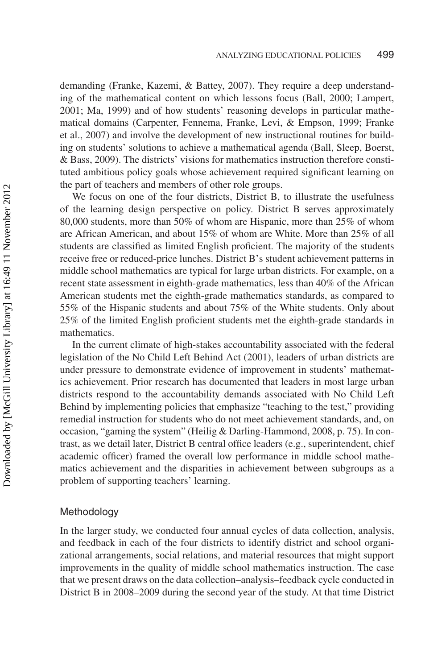demanding (Franke, Kazemi, & Battey, 2007). They require a deep understanding of the mathematical content on which lessons focus (Ball, 2000; Lampert, 2001; Ma, 1999) and of how students' reasoning develops in particular mathematical domains (Carpenter, Fennema, Franke, Levi, & Empson, 1999; Franke et al., 2007) and involve the development of new instructional routines for building on students' solutions to achieve a mathematical agenda (Ball, Sleep, Boerst, & Bass, 2009). The districts' visions for mathematics instruction therefore constituted ambitious policy goals whose achievement required significant learning on the part of teachers and members of other role groups.

We focus on one of the four districts, District B, to illustrate the usefulness of the learning design perspective on policy. District B serves approximately 80,000 students, more than 50% of whom are Hispanic, more than 25% of whom are African American, and about 15% of whom are White. More than 25% of all students are classified as limited English proficient. The majority of the students receive free or reduced-price lunches. District B's student achievement patterns in middle school mathematics are typical for large urban districts. For example, on a recent state assessment in eighth-grade mathematics, less than 40% of the African American students met the eighth-grade mathematics standards, as compared to 55% of the Hispanic students and about 75% of the White students. Only about 25% of the limited English proficient students met the eighth-grade standards in mathematics.

In the current climate of high-stakes accountability associated with the federal legislation of the No Child Left Behind Act (2001), leaders of urban districts are under pressure to demonstrate evidence of improvement in students' mathematics achievement. Prior research has documented that leaders in most large urban districts respond to the accountability demands associated with No Child Left Behind by implementing policies that emphasize "teaching to the test," providing remedial instruction for students who do not meet achievement standards, and, on occasion, "gaming the system" (Heilig & Darling-Hammond, 2008, p. 75). In contrast, as we detail later, District B central office leaders (e.g., superintendent, chief academic officer) framed the overall low performance in middle school mathematics achievement and the disparities in achievement between subgroups as a problem of supporting teachers' learning.

#### Methodology

In the larger study, we conducted four annual cycles of data collection, analysis, and feedback in each of the four districts to identify district and school organizational arrangements, social relations, and material resources that might support improvements in the quality of middle school mathematics instruction. The case that we present draws on the data collection–analysis–feedback cycle conducted in District B in 2008–2009 during the second year of the study. At that time District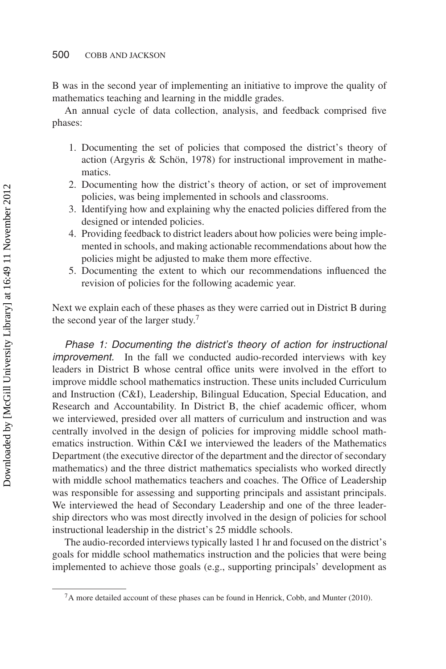B was in the second year of implementing an initiative to improve the quality of mathematics teaching and learning in the middle grades.

An annual cycle of data collection, analysis, and feedback comprised five phases:

- 1. Documenting the set of policies that composed the district's theory of action (Argyris & Schön, 1978) for instructional improvement in mathematics.
- 2. Documenting how the district's theory of action, or set of improvement policies, was being implemented in schools and classrooms.
- 3. Identifying how and explaining why the enacted policies differed from the designed or intended policies.
- 4. Providing feedback to district leaders about how policies were being implemented in schools, and making actionable recommendations about how the policies might be adjusted to make them more effective.
- 5. Documenting the extent to which our recommendations influenced the revision of policies for the following academic year.

Next we explain each of these phases as they were carried out in District B during the second year of the larger study.<sup>7</sup>

*Phase 1: Documenting the district's theory of action for instructional improvement.* In the fall we conducted audio-recorded interviews with key leaders in District B whose central office units were involved in the effort to improve middle school mathematics instruction. These units included Curriculum and Instruction (C&I), Leadership, Bilingual Education, Special Education, and Research and Accountability. In District B, the chief academic officer, whom we interviewed, presided over all matters of curriculum and instruction and was centrally involved in the design of policies for improving middle school mathematics instruction. Within C&I we interviewed the leaders of the Mathematics Department (the executive director of the department and the director of secondary mathematics) and the three district mathematics specialists who worked directly with middle school mathematics teachers and coaches. The Office of Leadership was responsible for assessing and supporting principals and assistant principals. We interviewed the head of Secondary Leadership and one of the three leadership directors who was most directly involved in the design of policies for school instructional leadership in the district's 25 middle schools.

The audio-recorded interviews typically lasted 1 hr and focused on the district's goals for middle school mathematics instruction and the policies that were being implemented to achieve those goals (e.g., supporting principals' development as

 ${}^{7}$ A more detailed account of these phases can be found in Henrick, Cobb, and Munter (2010).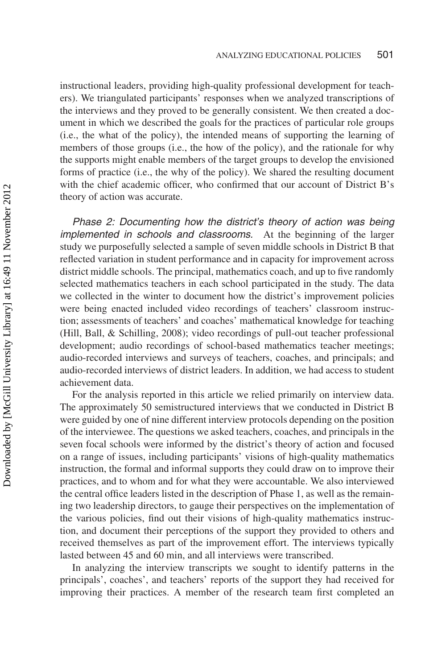instructional leaders, providing high-quality professional development for teachers). We triangulated participants' responses when we analyzed transcriptions of the interviews and they proved to be generally consistent. We then created a document in which we described the goals for the practices of particular role groups (i.e., the what of the policy), the intended means of supporting the learning of members of those groups (i.e., the how of the policy), and the rationale for why the supports might enable members of the target groups to develop the envisioned forms of practice (i.e., the why of the policy). We shared the resulting document with the chief academic officer, who confirmed that our account of District B's theory of action was accurate.

*Phase 2: Documenting how the district's theory of action was being implemented in schools and classrooms.* At the beginning of the larger study we purposefully selected a sample of seven middle schools in District B that reflected variation in student performance and in capacity for improvement across district middle schools. The principal, mathematics coach, and up to five randomly selected mathematics teachers in each school participated in the study. The data we collected in the winter to document how the district's improvement policies were being enacted included video recordings of teachers' classroom instruction; assessments of teachers' and coaches' mathematical knowledge for teaching (Hill, Ball, & Schilling, 2008); video recordings of pull-out teacher professional development; audio recordings of school-based mathematics teacher meetings; audio-recorded interviews and surveys of teachers, coaches, and principals; and audio-recorded interviews of district leaders. In addition, we had access to student achievement data.

For the analysis reported in this article we relied primarily on interview data. The approximately 50 semistructured interviews that we conducted in District B were guided by one of nine different interview protocols depending on the position of the interviewee. The questions we asked teachers, coaches, and principals in the seven focal schools were informed by the district's theory of action and focused on a range of issues, including participants' visions of high-quality mathematics instruction, the formal and informal supports they could draw on to improve their practices, and to whom and for what they were accountable. We also interviewed the central office leaders listed in the description of Phase 1, as well as the remaining two leadership directors, to gauge their perspectives on the implementation of the various policies, find out their visions of high-quality mathematics instruction, and document their perceptions of the support they provided to others and received themselves as part of the improvement effort. The interviews typically lasted between 45 and 60 min, and all interviews were transcribed.

In analyzing the interview transcripts we sought to identify patterns in the principals', coaches', and teachers' reports of the support they had received for improving their practices. A member of the research team first completed an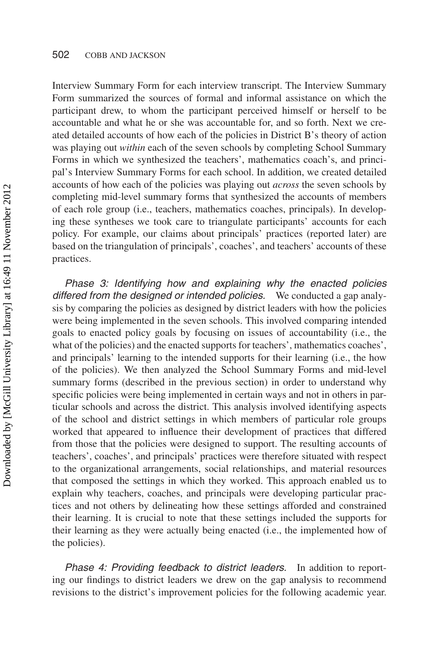Interview Summary Form for each interview transcript. The Interview Summary Form summarized the sources of formal and informal assistance on which the participant drew, to whom the participant perceived himself or herself to be accountable and what he or she was accountable for, and so forth. Next we created detailed accounts of how each of the policies in District B's theory of action was playing out *within* each of the seven schools by completing School Summary Forms in which we synthesized the teachers', mathematics coach's, and principal's Interview Summary Forms for each school. In addition, we created detailed accounts of how each of the policies was playing out *across* the seven schools by completing mid-level summary forms that synthesized the accounts of members of each role group (i.e., teachers, mathematics coaches, principals). In developing these syntheses we took care to triangulate participants' accounts for each policy. For example, our claims about principals' practices (reported later) are based on the triangulation of principals', coaches', and teachers' accounts of these practices.

*Phase 3: Identifying how and explaining why the enacted policies differed from the designed or intended policies.* We conducted a gap analysis by comparing the policies as designed by district leaders with how the policies were being implemented in the seven schools. This involved comparing intended goals to enacted policy goals by focusing on issues of accountability (i.e., the what of the policies) and the enacted supports for teachers', mathematics coaches', and principals' learning to the intended supports for their learning (i.e., the how of the policies). We then analyzed the School Summary Forms and mid-level summary forms (described in the previous section) in order to understand why specific policies were being implemented in certain ways and not in others in particular schools and across the district. This analysis involved identifying aspects of the school and district settings in which members of particular role groups worked that appeared to influence their development of practices that differed from those that the policies were designed to support. The resulting accounts of teachers', coaches', and principals' practices were therefore situated with respect to the organizational arrangements, social relationships, and material resources that composed the settings in which they worked. This approach enabled us to explain why teachers, coaches, and principals were developing particular practices and not others by delineating how these settings afforded and constrained their learning. It is crucial to note that these settings included the supports for their learning as they were actually being enacted (i.e., the implemented how of the policies).

*Phase 4: Providing feedback to district leaders.* In addition to reporting our findings to district leaders we drew on the gap analysis to recommend revisions to the district's improvement policies for the following academic year.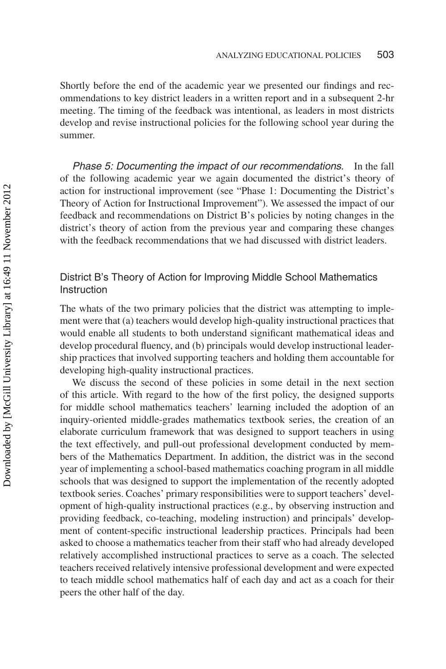Shortly before the end of the academic year we presented our findings and recommendations to key district leaders in a written report and in a subsequent 2-hr meeting. The timing of the feedback was intentional, as leaders in most districts develop and revise instructional policies for the following school year during the summer.

*Phase 5: Documenting the impact of our recommendations.* In the fall of the following academic year we again documented the district's theory of action for instructional improvement (see "Phase 1: Documenting the District's Theory of Action for Instructional Improvement"). We assessed the impact of our feedback and recommendations on District B's policies by noting changes in the district's theory of action from the previous year and comparing these changes with the feedback recommendations that we had discussed with district leaders.

## District B's Theory of Action for Improving Middle School Mathematics **Instruction**

The whats of the two primary policies that the district was attempting to implement were that (a) teachers would develop high-quality instructional practices that would enable all students to both understand significant mathematical ideas and develop procedural fluency, and (b) principals would develop instructional leadership practices that involved supporting teachers and holding them accountable for developing high-quality instructional practices.

We discuss the second of these policies in some detail in the next section of this article. With regard to the how of the first policy, the designed supports for middle school mathematics teachers' learning included the adoption of an inquiry-oriented middle-grades mathematics textbook series, the creation of an elaborate curriculum framework that was designed to support teachers in using the text effectively, and pull-out professional development conducted by members of the Mathematics Department. In addition, the district was in the second year of implementing a school-based mathematics coaching program in all middle schools that was designed to support the implementation of the recently adopted textbook series. Coaches' primary responsibilities were to support teachers' development of high-quality instructional practices (e.g., by observing instruction and providing feedback, co-teaching, modeling instruction) and principals' development of content-specific instructional leadership practices. Principals had been asked to choose a mathematics teacher from their staff who had already developed relatively accomplished instructional practices to serve as a coach. The selected teachers received relatively intensive professional development and were expected to teach middle school mathematics half of each day and act as a coach for their peers the other half of the day.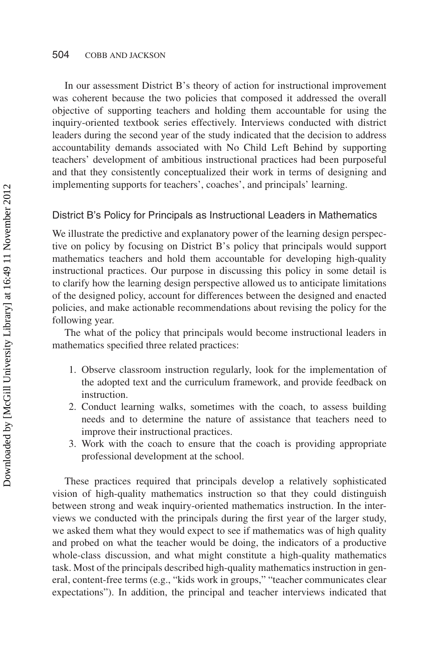#### 504 COBB AND JACKSON

In our assessment District B's theory of action for instructional improvement was coherent because the two policies that composed it addressed the overall objective of supporting teachers and holding them accountable for using the inquiry-oriented textbook series effectively. Interviews conducted with district leaders during the second year of the study indicated that the decision to address accountability demands associated with No Child Left Behind by supporting teachers' development of ambitious instructional practices had been purposeful and that they consistently conceptualized their work in terms of designing and implementing supports for teachers', coaches', and principals' learning.

#### District B's Policy for Principals as Instructional Leaders in Mathematics

We illustrate the predictive and explanatory power of the learning design perspective on policy by focusing on District B's policy that principals would support mathematics teachers and hold them accountable for developing high-quality instructional practices. Our purpose in discussing this policy in some detail is to clarify how the learning design perspective allowed us to anticipate limitations of the designed policy, account for differences between the designed and enacted policies, and make actionable recommendations about revising the policy for the following year.

The what of the policy that principals would become instructional leaders in mathematics specified three related practices:

- 1. Observe classroom instruction regularly, look for the implementation of the adopted text and the curriculum framework, and provide feedback on instruction.
- 2. Conduct learning walks, sometimes with the coach, to assess building needs and to determine the nature of assistance that teachers need to improve their instructional practices.
- 3. Work with the coach to ensure that the coach is providing appropriate professional development at the school.

These practices required that principals develop a relatively sophisticated vision of high-quality mathematics instruction so that they could distinguish between strong and weak inquiry-oriented mathematics instruction. In the interviews we conducted with the principals during the first year of the larger study, we asked them what they would expect to see if mathematics was of high quality and probed on what the teacher would be doing, the indicators of a productive whole-class discussion, and what might constitute a high-quality mathematics task. Most of the principals described high-quality mathematics instruction in general, content-free terms (e.g., "kids work in groups," "teacher communicates clear expectations"). In addition, the principal and teacher interviews indicated that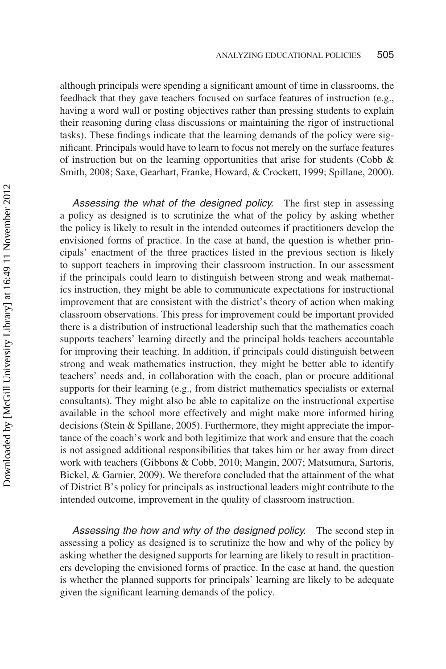although principals were spending a significant amount of time in classrooms, the feedback that they gave teachers focused on surface features of instruction (e.g., having a word wall or posting objectives rather than pressing students to explain their reasoning during class discussions or maintaining the rigor of instructional tasks). These findings indicate that the learning demands of the policy were significant. Principals would have to learn to focus not merely on the surface features of instruction but on the learning opportunities that arise for students (Cobb  $\&$ Smith, 2008; Saxe, Gearhart, Franke, Howard, & Crockett, 1999; Spillane, 2000).

*Assessing the what of the designed policy.* The first step in assessing a policy as designed is to scrutinize the what of the policy by asking whether the policy is likely to result in the intended outcomes if practitioners develop the envisioned forms of practice. In the case at hand, the question is whether principals' enactment of the three practices listed in the previous section is likely to support teachers in improving their classroom instruction. In our assessment if the principals could learn to distinguish between strong and weak mathematics instruction, they might be able to communicate expectations for instructional improvement that are consistent with the district's theory of action when making classroom observations. This press for improvement could be important provided there is a distribution of instructional leadership such that the mathematics coach supports teachers' learning directly and the principal holds teachers accountable for improving their teaching. In addition, if principals could distinguish between strong and weak mathematics instruction, they might be better able to identify teachers' needs and, in collaboration with the coach, plan or procure additional supports for their learning (e.g., from district mathematics specialists or external consultants). They might also be able to capitalize on the instructional expertise available in the school more effectively and might make more informed hiring decisions (Stein & Spillane, 2005). Furthermore, they might appreciate the importance of the coach's work and both legitimize that work and ensure that the coach is not assigned additional responsibilities that takes him or her away from direct work with teachers (Gibbons & Cobb, 2010; Mangin, 2007; Matsumura, Sartoris, Bickel, & Garnier, 2009). We therefore concluded that the attainment of the what of District B's policy for principals as instructional leaders might contribute to the intended outcome, improvement in the quality of classroom instruction.

*Assessing the how and why of the designed policy.* The second step in assessing a policy as designed is to scrutinize the how and why of the policy by asking whether the designed supports for learning are likely to result in practitioners developing the envisioned forms of practice. In the case at hand, the question is whether the planned supports for principals' learning are likely to be adequate given the significant learning demands of the policy.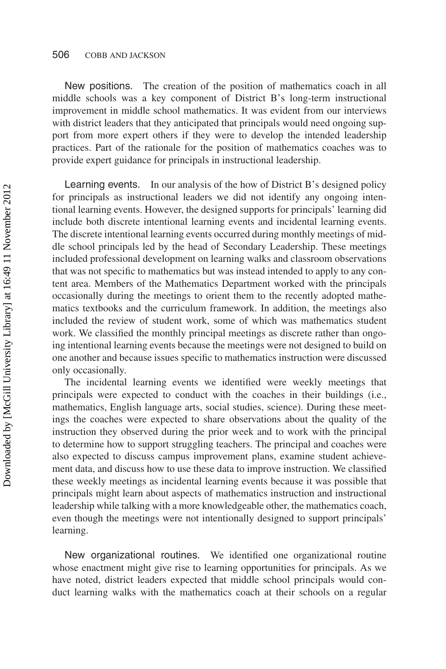New positions. The creation of the position of mathematics coach in all middle schools was a key component of District B's long-term instructional improvement in middle school mathematics. It was evident from our interviews with district leaders that they anticipated that principals would need ongoing support from more expert others if they were to develop the intended leadership practices. Part of the rationale for the position of mathematics coaches was to provide expert guidance for principals in instructional leadership.

Learning events. In our analysis of the how of District B's designed policy for principals as instructional leaders we did not identify any ongoing intentional learning events. However, the designed supports for principals' learning did include both discrete intentional learning events and incidental learning events. The discrete intentional learning events occurred during monthly meetings of middle school principals led by the head of Secondary Leadership. These meetings included professional development on learning walks and classroom observations that was not specific to mathematics but was instead intended to apply to any content area. Members of the Mathematics Department worked with the principals occasionally during the meetings to orient them to the recently adopted mathematics textbooks and the curriculum framework. In addition, the meetings also included the review of student work, some of which was mathematics student work. We classified the monthly principal meetings as discrete rather than ongoing intentional learning events because the meetings were not designed to build on one another and because issues specific to mathematics instruction were discussed only occasionally.

The incidental learning events we identified were weekly meetings that principals were expected to conduct with the coaches in their buildings (i.e., mathematics, English language arts, social studies, science). During these meetings the coaches were expected to share observations about the quality of the instruction they observed during the prior week and to work with the principal to determine how to support struggling teachers. The principal and coaches were also expected to discuss campus improvement plans, examine student achievement data, and discuss how to use these data to improve instruction. We classified these weekly meetings as incidental learning events because it was possible that principals might learn about aspects of mathematics instruction and instructional leadership while talking with a more knowledgeable other, the mathematics coach, even though the meetings were not intentionally designed to support principals' learning.

New organizational routines. We identified one organizational routine whose enactment might give rise to learning opportunities for principals. As we have noted, district leaders expected that middle school principals would conduct learning walks with the mathematics coach at their schools on a regular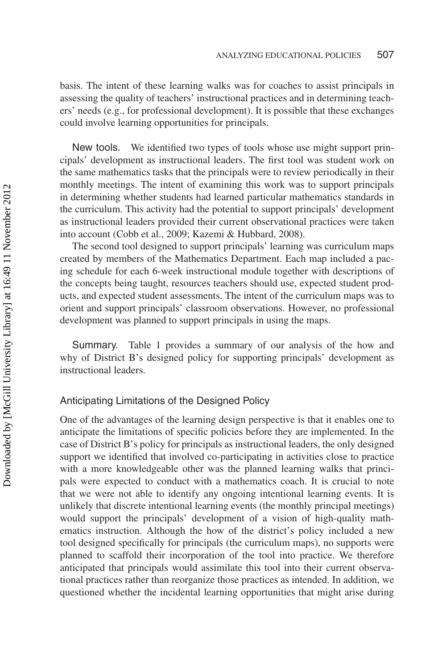basis. The intent of these learning walks was for coaches to assist principals in assessing the quality of teachers' instructional practices and in determining teachers' needs (e.g., for professional development). It is possible that these exchanges could involve learning opportunities for principals.

New tools. We identified two types of tools whose use might support principals' development as instructional leaders. The first tool was student work on the same mathematics tasks that the principals were to review periodically in their monthly meetings. The intent of examining this work was to support principals in determining whether students had learned particular mathematics standards in the curriculum. This activity had the potential to support principals' development as instructional leaders provided their current observational practices were taken into account (Cobb et al., 2009; Kazemi & Hubbard, 2008).

The second tool designed to support principals' learning was curriculum maps created by members of the Mathematics Department. Each map included a pacing schedule for each 6-week instructional module together with descriptions of the concepts being taught, resources teachers should use, expected student products, and expected student assessments. The intent of the curriculum maps was to orient and support principals' classroom observations. However, no professional development was planned to support principals in using the maps.

Summary. Table 1 provides a summary of our analysis of the how and why of District B's designed policy for supporting principals' development as instructional leaders.

## Anticipating Limitations of the Designed Policy

One of the advantages of the learning design perspective is that it enables one to anticipate the limitations of specific policies before they are implemented. In the case of District B's policy for principals as instructional leaders, the only designed support we identified that involved co-participating in activities close to practice with a more knowledgeable other was the planned learning walks that principals were expected to conduct with a mathematics coach. It is crucial to note that we were not able to identify any ongoing intentional learning events. It is unlikely that discrete intentional learning events (the monthly principal meetings) would support the principals' development of a vision of high-quality mathematics instruction. Although the how of the district's policy included a new tool designed specifically for principals (the curriculum maps), no supports were planned to scaffold their incorporation of the tool into practice. We therefore anticipated that principals would assimilate this tool into their current observational practices rather than reorganize those practices as intended. In addition, we questioned whether the incidental learning opportunities that might arise during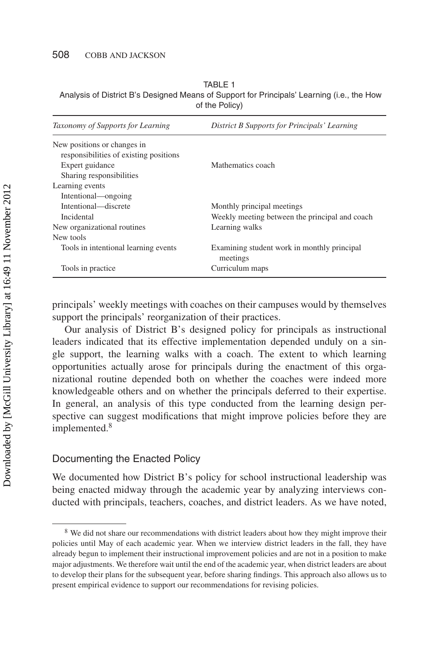TABLE 1 Analysis of District B's Designed Means of Support for Principals' Learning (i.e., the How of the Policy)

| Taxonomy of Supports for Learning      | District B Supports for Principals' Learning            |
|----------------------------------------|---------------------------------------------------------|
| New positions or changes in            |                                                         |
| responsibilities of existing positions |                                                         |
| Expert guidance                        | Mathematics coach                                       |
| Sharing responsibilities               |                                                         |
| Learning events                        |                                                         |
| Intentional—ongoing                    |                                                         |
| Intentional—discrete                   | Monthly principal meetings                              |
| Incidental                             | Weekly meeting between the principal and coach          |
| New organizational routines            | Learning walks                                          |
| New tools                              |                                                         |
| Tools in intentional learning events   | Examining student work in monthly principal<br>meetings |
| Tools in practice.                     | Curriculum maps                                         |

principals' weekly meetings with coaches on their campuses would by themselves support the principals' reorganization of their practices.

Our analysis of District B's designed policy for principals as instructional leaders indicated that its effective implementation depended unduly on a single support, the learning walks with a coach. The extent to which learning opportunities actually arose for principals during the enactment of this organizational routine depended both on whether the coaches were indeed more knowledgeable others and on whether the principals deferred to their expertise. In general, an analysis of this type conducted from the learning design perspective can suggest modifications that might improve policies before they are implemented.<sup>8</sup>

#### Documenting the Enacted Policy

We documented how District B's policy for school instructional leadership was being enacted midway through the academic year by analyzing interviews conducted with principals, teachers, coaches, and district leaders. As we have noted,

<sup>&</sup>lt;sup>8</sup> We did not share our recommendations with district leaders about how they might improve their policies until May of each academic year. When we interview district leaders in the fall, they have already begun to implement their instructional improvement policies and are not in a position to make major adjustments. We therefore wait until the end of the academic year, when district leaders are about to develop their plans for the subsequent year, before sharing findings. This approach also allows us to present empirical evidence to support our recommendations for revising policies.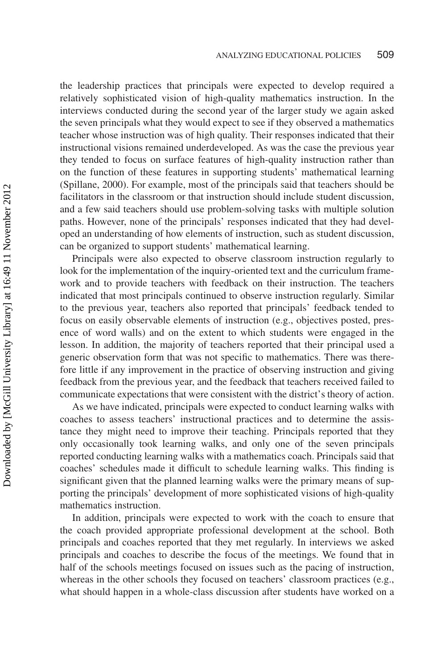the leadership practices that principals were expected to develop required a relatively sophisticated vision of high-quality mathematics instruction. In the interviews conducted during the second year of the larger study we again asked the seven principals what they would expect to see if they observed a mathematics teacher whose instruction was of high quality. Their responses indicated that their instructional visions remained underdeveloped. As was the case the previous year they tended to focus on surface features of high-quality instruction rather than on the function of these features in supporting students' mathematical learning (Spillane, 2000). For example, most of the principals said that teachers should be facilitators in the classroom or that instruction should include student discussion, and a few said teachers should use problem-solving tasks with multiple solution paths. However, none of the principals' responses indicated that they had developed an understanding of how elements of instruction, such as student discussion, can be organized to support students' mathematical learning.

Principals were also expected to observe classroom instruction regularly to look for the implementation of the inquiry-oriented text and the curriculum framework and to provide teachers with feedback on their instruction. The teachers indicated that most principals continued to observe instruction regularly. Similar to the previous year, teachers also reported that principals' feedback tended to focus on easily observable elements of instruction (e.g., objectives posted, presence of word walls) and on the extent to which students were engaged in the lesson. In addition, the majority of teachers reported that their principal used a generic observation form that was not specific to mathematics. There was therefore little if any improvement in the practice of observing instruction and giving feedback from the previous year, and the feedback that teachers received failed to communicate expectations that were consistent with the district's theory of action.

As we have indicated, principals were expected to conduct learning walks with coaches to assess teachers' instructional practices and to determine the assistance they might need to improve their teaching. Principals reported that they only occasionally took learning walks, and only one of the seven principals reported conducting learning walks with a mathematics coach. Principals said that coaches' schedules made it difficult to schedule learning walks. This finding is significant given that the planned learning walks were the primary means of supporting the principals' development of more sophisticated visions of high-quality mathematics instruction.

In addition, principals were expected to work with the coach to ensure that the coach provided appropriate professional development at the school. Both principals and coaches reported that they met regularly. In interviews we asked principals and coaches to describe the focus of the meetings. We found that in half of the schools meetings focused on issues such as the pacing of instruction, whereas in the other schools they focused on teachers' classroom practices (e.g., what should happen in a whole-class discussion after students have worked on a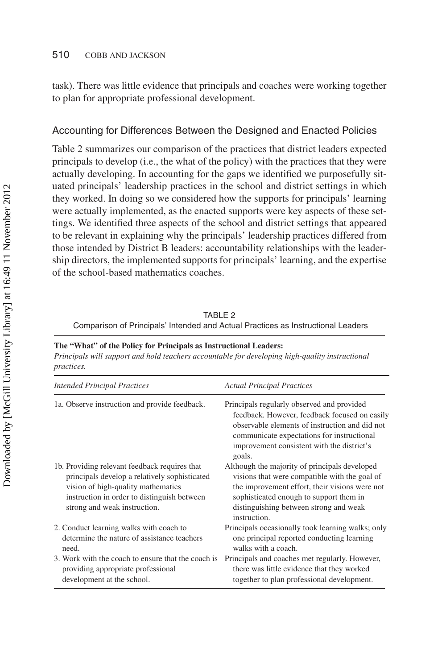task). There was little evidence that principals and coaches were working together to plan for appropriate professional development.

#### Accounting for Differences Between the Designed and Enacted Policies

Table 2 summarizes our comparison of the practices that district leaders expected principals to develop (i.e., the what of the policy) with the practices that they were actually developing. In accounting for the gaps we identified we purposefully situated principals' leadership practices in the school and district settings in which they worked. In doing so we considered how the supports for principals' learning were actually implemented, as the enacted supports were key aspects of these settings. We identified three aspects of the school and district settings that appeared to be relevant in explaining why the principals' leadership practices differed from those intended by District B leaders: accountability relationships with the leadership directors, the implemented supports for principals' learning, and the expertise of the school-based mathematics coaches.

## TABLE 2

Comparison of Principals' Intended and Actual Practices as Instructional Leaders

**The "What" of the Policy for Principals as Instructional Leaders:**

*Principals will support and hold teachers accountable for developing high-quality instructional practices.*

| <b>Intended Principal Practices</b>                                                                                                                                                                                 | <b>Actual Principal Practices</b>                                                                                                                                                                                                                     |
|---------------------------------------------------------------------------------------------------------------------------------------------------------------------------------------------------------------------|-------------------------------------------------------------------------------------------------------------------------------------------------------------------------------------------------------------------------------------------------------|
| 1a. Observe instruction and provide feedback.                                                                                                                                                                       | Principals regularly observed and provided<br>feedback. However, feedback focused on easily<br>observable elements of instruction and did not<br>communicate expectations for instructional<br>improvement consistent with the district's<br>goals.   |
| 1b. Providing relevant feedback requires that<br>principals develop a relatively sophisticated<br>vision of high-quality mathematics<br>instruction in order to distinguish between<br>strong and weak instruction. | Although the majority of principals developed<br>visions that were compatible with the goal of<br>the improvement effort, their visions were not<br>sophisticated enough to support them in<br>distinguishing between strong and weak<br>instruction. |
| 2. Conduct learning walks with coach to<br>determine the nature of assistance teachers<br>need.                                                                                                                     | Principals occasionally took learning walks; only<br>one principal reported conducting learning<br>walks with a coach.                                                                                                                                |
| 3. Work with the coach to ensure that the coach is<br>providing appropriate professional<br>development at the school.                                                                                              | Principals and coaches met regularly. However,<br>there was little evidence that they worked<br>together to plan professional development.                                                                                                            |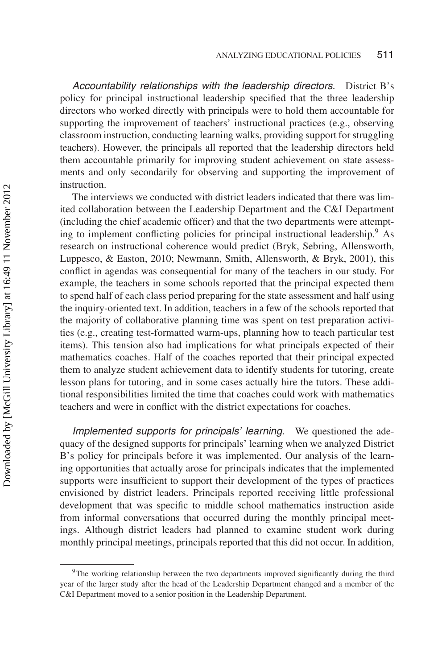*Accountability relationships with the leadership directors.* District B's policy for principal instructional leadership specified that the three leadership directors who worked directly with principals were to hold them accountable for supporting the improvement of teachers' instructional practices (e.g., observing classroom instruction, conducting learning walks, providing support for struggling teachers). However, the principals all reported that the leadership directors held them accountable primarily for improving student achievement on state assessments and only secondarily for observing and supporting the improvement of instruction.

The interviews we conducted with district leaders indicated that there was limited collaboration between the Leadership Department and the C&I Department (including the chief academic officer) and that the two departments were attempting to implement conflicting policies for principal instructional leadership.<sup>9</sup> As research on instructional coherence would predict (Bryk, Sebring, Allensworth, Luppesco, & Easton, 2010; Newmann, Smith, Allensworth, & Bryk, 2001), this conflict in agendas was consequential for many of the teachers in our study. For example, the teachers in some schools reported that the principal expected them to spend half of each class period preparing for the state assessment and half using the inquiry-oriented text. In addition, teachers in a few of the schools reported that the majority of collaborative planning time was spent on test preparation activities (e.g., creating test-formatted warm-ups, planning how to teach particular test items). This tension also had implications for what principals expected of their mathematics coaches. Half of the coaches reported that their principal expected them to analyze student achievement data to identify students for tutoring, create lesson plans for tutoring, and in some cases actually hire the tutors. These additional responsibilities limited the time that coaches could work with mathematics teachers and were in conflict with the district expectations for coaches.

*Implemented supports for principals' learning.* We questioned the adequacy of the designed supports for principals' learning when we analyzed District B's policy for principals before it was implemented. Our analysis of the learning opportunities that actually arose for principals indicates that the implemented supports were insufficient to support their development of the types of practices envisioned by district leaders. Principals reported receiving little professional development that was specific to middle school mathematics instruction aside from informal conversations that occurred during the monthly principal meetings. Although district leaders had planned to examine student work during monthly principal meetings, principals reported that this did not occur. In addition,

<sup>&</sup>lt;sup>9</sup>The working relationship between the two departments improved significantly during the third year of the larger study after the head of the Leadership Department changed and a member of the C&I Department moved to a senior position in the Leadership Department.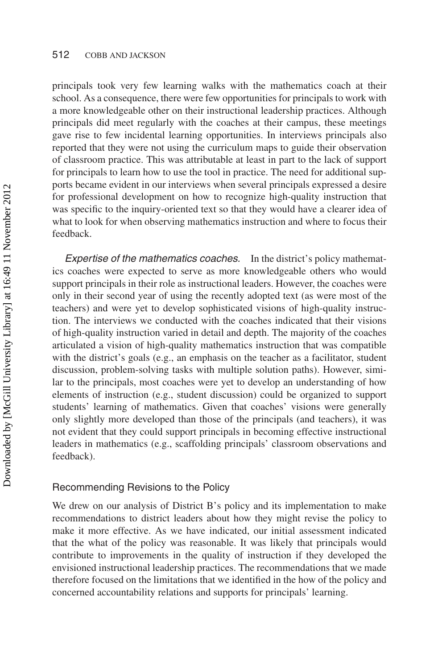principals took very few learning walks with the mathematics coach at their school. As a consequence, there were few opportunities for principals to work with a more knowledgeable other on their instructional leadership practices. Although principals did meet regularly with the coaches at their campus, these meetings gave rise to few incidental learning opportunities. In interviews principals also reported that they were not using the curriculum maps to guide their observation of classroom practice. This was attributable at least in part to the lack of support for principals to learn how to use the tool in practice. The need for additional supports became evident in our interviews when several principals expressed a desire for professional development on how to recognize high-quality instruction that was specific to the inquiry-oriented text so that they would have a clearer idea of what to look for when observing mathematics instruction and where to focus their feedback.

*Expertise of the mathematics coaches.* In the district's policy mathematics coaches were expected to serve as more knowledgeable others who would support principals in their role as instructional leaders. However, the coaches were only in their second year of using the recently adopted text (as were most of the teachers) and were yet to develop sophisticated visions of high-quality instruction. The interviews we conducted with the coaches indicated that their visions of high-quality instruction varied in detail and depth. The majority of the coaches articulated a vision of high-quality mathematics instruction that was compatible with the district's goals (e.g., an emphasis on the teacher as a facilitator, student discussion, problem-solving tasks with multiple solution paths). However, similar to the principals, most coaches were yet to develop an understanding of how elements of instruction (e.g., student discussion) could be organized to support students' learning of mathematics. Given that coaches' visions were generally only slightly more developed than those of the principals (and teachers), it was not evident that they could support principals in becoming effective instructional leaders in mathematics (e.g., scaffolding principals' classroom observations and feedback).

#### Recommending Revisions to the Policy

We drew on our analysis of District B's policy and its implementation to make recommendations to district leaders about how they might revise the policy to make it more effective. As we have indicated, our initial assessment indicated that the what of the policy was reasonable. It was likely that principals would contribute to improvements in the quality of instruction if they developed the envisioned instructional leadership practices. The recommendations that we made therefore focused on the limitations that we identified in the how of the policy and concerned accountability relations and supports for principals' learning.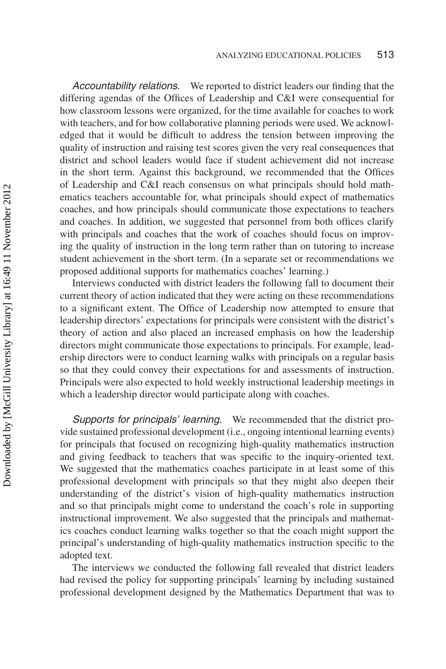*Accountability relations.* We reported to district leaders our finding that the differing agendas of the Offices of Leadership and C&I were consequential for how classroom lessons were organized, for the time available for coaches to work with teachers, and for how collaborative planning periods were used. We acknowledged that it would be difficult to address the tension between improving the quality of instruction and raising test scores given the very real consequences that district and school leaders would face if student achievement did not increase in the short term. Against this background, we recommended that the Offices of Leadership and C&I reach consensus on what principals should hold mathematics teachers accountable for, what principals should expect of mathematics coaches, and how principals should communicate those expectations to teachers and coaches. In addition, we suggested that personnel from both offices clarify with principals and coaches that the work of coaches should focus on improving the quality of instruction in the long term rather than on tutoring to increase student achievement in the short term. (In a separate set or recommendations we proposed additional supports for mathematics coaches' learning.)

Interviews conducted with district leaders the following fall to document their current theory of action indicated that they were acting on these recommendations to a significant extent. The Office of Leadership now attempted to ensure that leadership directors' expectations for principals were consistent with the district's theory of action and also placed an increased emphasis on how the leadership directors might communicate those expectations to principals. For example, leadership directors were to conduct learning walks with principals on a regular basis so that they could convey their expectations for and assessments of instruction. Principals were also expected to hold weekly instructional leadership meetings in which a leadership director would participate along with coaches.

*Supports for principals' learning.* We recommended that the district provide sustained professional development (i.e., ongoing intentional learning events) for principals that focused on recognizing high-quality mathematics instruction and giving feedback to teachers that was specific to the inquiry-oriented text. We suggested that the mathematics coaches participate in at least some of this professional development with principals so that they might also deepen their understanding of the district's vision of high-quality mathematics instruction and so that principals might come to understand the coach's role in supporting instructional improvement. We also suggested that the principals and mathematics coaches conduct learning walks together so that the coach might support the principal's understanding of high-quality mathematics instruction specific to the adopted text.

The interviews we conducted the following fall revealed that district leaders had revised the policy for supporting principals' learning by including sustained professional development designed by the Mathematics Department that was to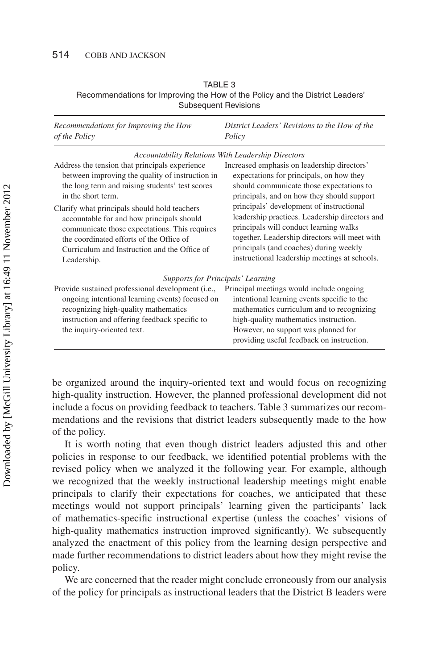TABLE 3 Recommendations for Improving the How of the Policy and the District Leaders' Subsequent Revisions

| Recommendations for Improving the How<br>of the Policy                                                                                                                                                                                                                                                                                                                                                                              | District Leaders' Revisions to the How of the<br>Policy                                                                                                                                                                                                                                                                                                                                                                                                               |
|-------------------------------------------------------------------------------------------------------------------------------------------------------------------------------------------------------------------------------------------------------------------------------------------------------------------------------------------------------------------------------------------------------------------------------------|-----------------------------------------------------------------------------------------------------------------------------------------------------------------------------------------------------------------------------------------------------------------------------------------------------------------------------------------------------------------------------------------------------------------------------------------------------------------------|
| Accountability Relations With Leadership Directors                                                                                                                                                                                                                                                                                                                                                                                  |                                                                                                                                                                                                                                                                                                                                                                                                                                                                       |
| Address the tension that principals experience<br>between improving the quality of instruction in<br>the long term and raising students' test scores<br>in the short term.<br>Clarify what principals should hold teachers<br>accountable for and how principals should<br>communicate those expectations. This requires<br>the coordinated efforts of the Office of<br>Curriculum and Instruction and the Office of<br>Leadership. | Increased emphasis on leadership directors'<br>expectations for principals, on how they<br>should communicate those expectations to<br>principals, and on how they should support<br>principals' development of instructional<br>leadership practices. Leadership directors and<br>principals will conduct learning walks<br>together. Leadership directors will meet with<br>principals (and coaches) during weekly<br>instructional leadership meetings at schools. |
| <b>Supports for Principals' Learning</b>                                                                                                                                                                                                                                                                                                                                                                                            |                                                                                                                                                                                                                                                                                                                                                                                                                                                                       |
| Provide sustained professional development (i.e.,<br>ongoing intentional learning events) focused on<br>recognizing high-quality mathematics<br>instruction and offering feedback specific to<br>the inquiry-oriented text.                                                                                                                                                                                                         | Principal meetings would include ongoing<br>intentional learning events specific to the<br>mathematics curriculum and to recognizing<br>high-quality mathematics instruction.<br>However, no support was planned for<br>providing useful feedback on instruction.                                                                                                                                                                                                     |

be organized around the inquiry-oriented text and would focus on recognizing high-quality instruction. However, the planned professional development did not include a focus on providing feedback to teachers. Table 3 summarizes our recommendations and the revisions that district leaders subsequently made to the how of the policy.

It is worth noting that even though district leaders adjusted this and other policies in response to our feedback, we identified potential problems with the revised policy when we analyzed it the following year. For example, although we recognized that the weekly instructional leadership meetings might enable principals to clarify their expectations for coaches, we anticipated that these meetings would not support principals' learning given the participants' lack of mathematics-specific instructional expertise (unless the coaches' visions of high-quality mathematics instruction improved significantly). We subsequently analyzed the enactment of this policy from the learning design perspective and made further recommendations to district leaders about how they might revise the policy.

We are concerned that the reader might conclude erroneously from our analysis of the policy for principals as instructional leaders that the District B leaders were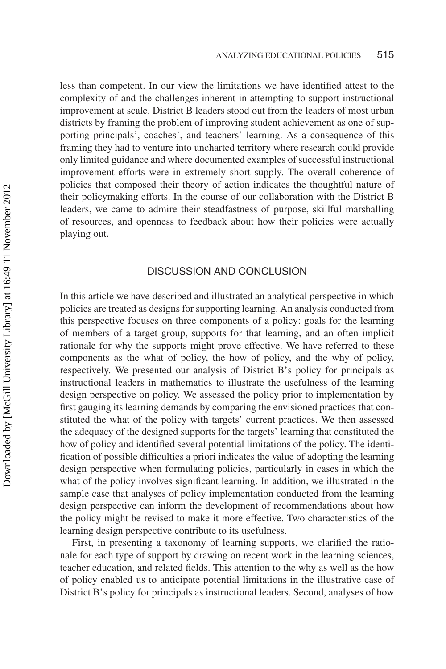less than competent. In our view the limitations we have identified attest to the complexity of and the challenges inherent in attempting to support instructional improvement at scale. District B leaders stood out from the leaders of most urban districts by framing the problem of improving student achievement as one of supporting principals', coaches', and teachers' learning. As a consequence of this framing they had to venture into uncharted territory where research could provide only limited guidance and where documented examples of successful instructional improvement efforts were in extremely short supply. The overall coherence of policies that composed their theory of action indicates the thoughtful nature of their policymaking efforts. In the course of our collaboration with the District B leaders, we came to admire their steadfastness of purpose, skillful marshalling of resources, and openness to feedback about how their policies were actually playing out.

## DISCUSSION AND CONCLUSION

In this article we have described and illustrated an analytical perspective in which policies are treated as designs for supporting learning. An analysis conducted from this perspective focuses on three components of a policy: goals for the learning of members of a target group, supports for that learning, and an often implicit rationale for why the supports might prove effective. We have referred to these components as the what of policy, the how of policy, and the why of policy, respectively. We presented our analysis of District B's policy for principals as instructional leaders in mathematics to illustrate the usefulness of the learning design perspective on policy. We assessed the policy prior to implementation by first gauging its learning demands by comparing the envisioned practices that constituted the what of the policy with targets' current practices. We then assessed the adequacy of the designed supports for the targets' learning that constituted the how of policy and identified several potential limitations of the policy. The identification of possible difficulties a priori indicates the value of adopting the learning design perspective when formulating policies, particularly in cases in which the what of the policy involves significant learning. In addition, we illustrated in the sample case that analyses of policy implementation conducted from the learning design perspective can inform the development of recommendations about how the policy might be revised to make it more effective. Two characteristics of the learning design perspective contribute to its usefulness.

First, in presenting a taxonomy of learning supports, we clarified the rationale for each type of support by drawing on recent work in the learning sciences, teacher education, and related fields. This attention to the why as well as the how of policy enabled us to anticipate potential limitations in the illustrative case of District B's policy for principals as instructional leaders. Second, analyses of how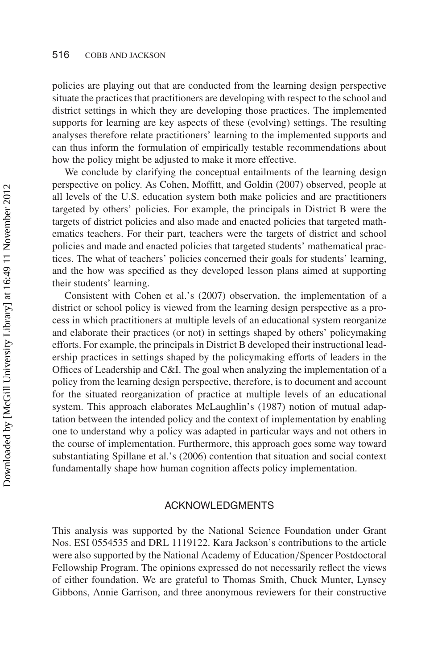policies are playing out that are conducted from the learning design perspective situate the practices that practitioners are developing with respect to the school and district settings in which they are developing those practices. The implemented supports for learning are key aspects of these (evolving) settings. The resulting analyses therefore relate practitioners' learning to the implemented supports and can thus inform the formulation of empirically testable recommendations about how the policy might be adjusted to make it more effective.

We conclude by clarifying the conceptual entailments of the learning design perspective on policy. As Cohen, Moffitt, and Goldin (2007) observed, people at all levels of the U.S. education system both make policies and are practitioners targeted by others' policies. For example, the principals in District B were the targets of district policies and also made and enacted policies that targeted mathematics teachers. For their part, teachers were the targets of district and school policies and made and enacted policies that targeted students' mathematical practices. The what of teachers' policies concerned their goals for students' learning, and the how was specified as they developed lesson plans aimed at supporting their students' learning.

Consistent with Cohen et al.'s (2007) observation, the implementation of a district or school policy is viewed from the learning design perspective as a process in which practitioners at multiple levels of an educational system reorganize and elaborate their practices (or not) in settings shaped by others' policymaking efforts. For example, the principals in District B developed their instructional leadership practices in settings shaped by the policymaking efforts of leaders in the Offices of Leadership and C&I. The goal when analyzing the implementation of a policy from the learning design perspective, therefore, is to document and account for the situated reorganization of practice at multiple levels of an educational system. This approach elaborates McLaughlin's (1987) notion of mutual adaptation between the intended policy and the context of implementation by enabling one to understand why a policy was adapted in particular ways and not others in the course of implementation. Furthermore, this approach goes some way toward substantiating Spillane et al.'s (2006) contention that situation and social context fundamentally shape how human cognition affects policy implementation.

### ACKNOWLEDGMENTS

This analysis was supported by the National Science Foundation under Grant Nos. ESI 0554535 and DRL 1119122. Kara Jackson's contributions to the article were also supported by the National Academy of Education*/*Spencer Postdoctoral Fellowship Program. The opinions expressed do not necessarily reflect the views of either foundation. We are grateful to Thomas Smith, Chuck Munter, Lynsey Gibbons, Annie Garrison, and three anonymous reviewers for their constructive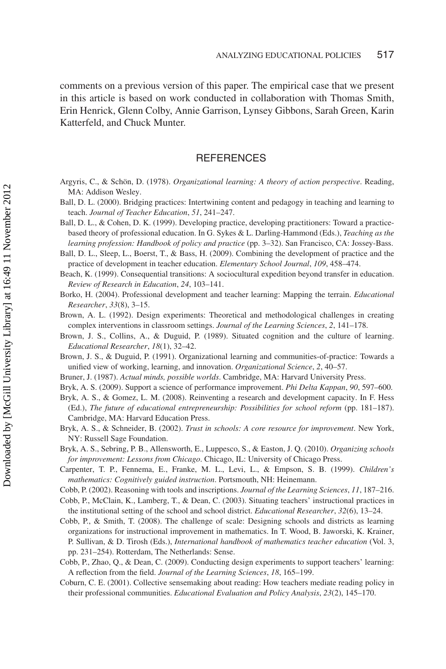comments on a previous version of this paper. The empirical case that we present in this article is based on work conducted in collaboration with Thomas Smith, Erin Henrick, Glenn Colby, Annie Garrison, Lynsey Gibbons, Sarah Green, Karin Katterfeld, and Chuck Munter.

## **REFERENCES**

- Argyris, C., & Schön, D. (1978). *Organizational learning: A theory of action perspective*. Reading, MA: Addison Wesley.
- Ball, D. L. (2000). Bridging practices: Intertwining content and pedagogy in teaching and learning to teach. *Journal of Teacher Education*, *51*, 241–247.

Ball, D. L., & Cohen, D. K. (1999). Developing practice, developing practitioners: Toward a practicebased theory of professional education. In G. Sykes & L. Darling-Hammond (Eds.), *Teaching as the learning profession: Handbook of policy and practice* (pp. 3–32). San Francisco, CA: Jossey-Bass.

Ball, D. L., Sleep, L., Boerst, T., & Bass, H. (2009). Combining the development of practice and the practice of development in teacher education. *Elementary School Journal*, *109*, 458–474.

Beach, K. (1999). Consequential transitions: A sociocultural expedition beyond transfer in education. *Review of Research in Education*, *24*, 103–141.

Borko, H. (2004). Professional development and teacher learning: Mapping the terrain. *Educational Researcher*, *33*(8), 3–15.

Brown, A. L. (1992). Design experiments: Theoretical and methodological challenges in creating complex interventions in classroom settings. *Journal of the Learning Sciences*, *2*, 141–178.

Brown, J. S., Collins, A., & Duguid, P. (1989). Situated cognition and the culture of learning. *Educational Researcher*, *18*(1), 32–42.

Brown, J. S., & Duguid, P. (1991). Organizational learning and communities-of-practice: Towards a unified view of working, learning, and innovation. *Organizational Science*, *2*, 40–57.

Bruner, J. (1987). *Actual minds, possible worlds*. Cambridge, MA: Harvard University Press.

Bryk, A. S. (2009). Support a science of performance improvement. *Phi Delta Kappan*, *90*, 597–600.

- Bryk, A. S., & Gomez, L. M. (2008). Reinventing a research and development capacity. In F. Hess (Ed.), *The future of educational entrepreneurship: Possibilities for school reform* (pp. 181–187). Cambridge, MA: Harvard Education Press.
- Bryk, A. S., & Schneider, B. (2002). *Trust in schools: A core resource for improvement*. New York, NY: Russell Sage Foundation.

Bryk, A. S., Sebring, P. B., Allensworth, E., Luppesco, S., & Easton, J. Q. (2010). *Organizing schools for improvement: Lessons from Chicago*. Chicago, IL: University of Chicago Press.

Carpenter, T. P., Fennema, E., Franke, M. L., Levi, L., & Empson, S. B. (1999). *Children's mathematics: Cognitively guided instruction*. Portsmouth, NH: Heinemann.

Cobb, P. (2002). Reasoning with tools and inscriptions. *Journal of the Learning Sciences*, *11*, 187–216.

Cobb, P., McClain, K., Lamberg, T., & Dean, C. (2003). Situating teachers' instructional practices in the institutional setting of the school and school district. *Educational Researcher*, *32*(6), 13–24.

Cobb, P., & Smith, T. (2008). The challenge of scale: Designing schools and districts as learning organizations for instructional improvement in mathematics. In T. Wood, B. Jaworski, K. Krainer, P. Sullivan, & D. Tirosh (Eds.), *International handbook of mathematics teacher education* (Vol. 3, pp. 231–254). Rotterdam, The Netherlands: Sense.

Cobb, P., Zhao, Q., & Dean, C. (2009). Conducting design experiments to support teachers' learning: A reflection from the field. *Journal of the Learning Sciences*, *18*, 165–199.

Coburn, C. E. (2001). Collective sensemaking about reading: How teachers mediate reading policy in their professional communities. *Educational Evaluation and Policy Analysis*, *23*(2), 145–170.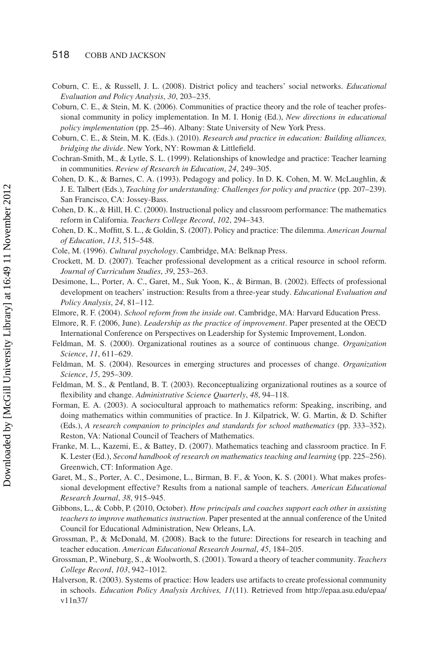#### 518 COBB AND JACKSON

- Coburn, C. E., & Russell, J. L. (2008). District policy and teachers' social networks. *Educational Evaluation and Policy Analysis*, *30*, 203–235.
- Coburn, C. E., & Stein, M. K. (2006). Communities of practice theory and the role of teacher professional community in policy implementation. In M. I. Honig (Ed.), *New directions in educational policy implementation* (pp. 25–46). Albany: State University of New York Press.
- Coburn, C. E., & Stein, M. K. (Eds.). (2010). *Research and practice in education: Building alliances, bridging the divide*. New York, NY: Rowman & Littlefield.
- Cochran-Smith, M., & Lytle, S. L. (1999). Relationships of knowledge and practice: Teacher learning in communities. *Review of Research in Education*, *24*, 249–305.
- Cohen, D. K., & Barnes, C. A. (1993). Pedagogy and policy. In D. K. Cohen, M. W. McLaughlin, & J. E. Talbert (Eds.), *Teaching for understanding: Challenges for policy and practice* (pp. 207–239). San Francisco, CA: Jossey-Bass.
- Cohen, D. K., & Hill, H. C. (2000). Instructional policy and classroom performance: The mathematics reform in California. *Teachers College Record*, *102*, 294–343.
- Cohen, D. K., Moffitt, S. L., & Goldin, S. (2007). Policy and practice: The dilemma. *American Journal of Education*, *113*, 515–548.
- Cole, M. (1996). *Cultural psychology*. Cambridge, MA: Belknap Press.
- Crockett, M. D. (2007). Teacher professional development as a critical resource in school reform. *Journal of Curriculum Studies*, *39*, 253–263.
- Desimone, L., Porter, A. C., Garet, M., Suk Yoon, K., & Birman, B. (2002). Effects of professional development on teachers' instruction: Results from a three-year study. *Educational Evaluation and Policy Analysis*, *24*, 81–112.
- Elmore, R. F. (2004). *School reform from the inside out*. Cambridge, MA: Harvard Education Press.
- Elmore, R. F. (2006, June). *Leadership as the practice of improvement*. Paper presented at the OECD International Conference on Perspectives on Leadership for Systemic Improvement, London.
- Feldman, M. S. (2000). Organizational routines as a source of continuous change. *Organization Science*, *11*, 611–629.
- Feldman, M. S. (2004). Resources in emerging structures and processes of change. *Organization Science*, *15*, 295–309.
- Feldman, M. S., & Pentland, B. T. (2003). Reconceptualizing organizational routines as a source of flexibility and change. *Administrative Science Quarterly*, *48*, 94–118.
- Forman, E. A. (2003). A sociocultural approach to mathematics reform: Speaking, inscribing, and doing mathematics within communities of practice. In J. Kilpatrick, W. G. Martin, & D. Schifter (Eds.), *A research companion to principles and standards for school mathematics* (pp. 333–352). Reston, VA: National Council of Teachers of Mathematics.
- Franke, M. L., Kazemi, E., & Battey, D. (2007). Mathematics teaching and classroom practice. In F. K. Lester (Ed.), *Second handbook of research on mathematics teaching and learning* (pp. 225–256). Greenwich, CT: Information Age.
- Garet, M., S., Porter, A. C., Desimone, L., Birman, B. F., & Yoon, K. S. (2001). What makes professional development effective? Results from a national sample of teachers. *American Educational Research Journal*, *38*, 915–945.
- Gibbons, L., & Cobb, P. (2010, October). *How principals and coaches support each other in assisting teachers to improve mathematics instruction*. Paper presented at the annual conference of the United Council for Educational Administration, New Orleans, LA.
- Grossman, P., & McDonald, M. (2008). Back to the future: Directions for research in teaching and teacher education. *American Educational Research Journal*, *45*, 184–205.
- Grossman, P., Wineburg, S., & Woolworth, S. (2001). Toward a theory of teacher community. *Teachers College Record*, *103*, 942–1012.
- Halverson, R. (2003). Systems of practice: How leaders use artifacts to create professional community in schools. *Education Policy Analysis Archives, 11*(11). Retrieved from http://epaa.asu.edu/epaa/ v11n37/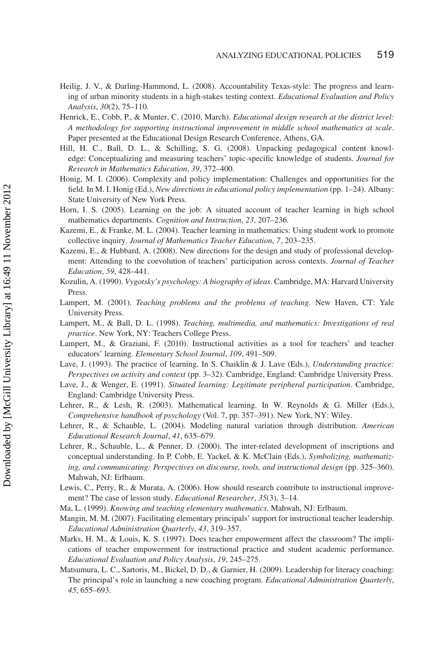- Heilig, J. V., & Darling-Hammond, L. (2008). Accountability Texas-style: The progress and learning of urban minority students in a high-stakes testing context. *Educational Evaluation and Policy Analysis*, *30*(2), 75–110.
- Henrick, E., Cobb, P., & Munter, C. (2010, March). *Educational design research at the district level: A methodology for supporting instructional improvement in middle school mathematics at scale*. Paper presented at the Educational Design Research Conference, Athens, GA.
- Hill, H. C., Ball, D. L., & Schilling, S. G. (2008). Unpacking pedagogical content knowledge: Conceptualizing and measuring teachers' topic-specific knowledge of students. *Journal for Research in Mathematics Education*, *39*, 372–400.
- Honig, M. I. (2006). Complexity and policy implementation: Challenges and opportunities for the field. In M. I. Honig (Ed.), *New directions in educational policy implementation* (pp. 1–24). Albany: State University of New York Press.
- Horn, I. S. (2005). Learning on the job: A situated account of teacher learning in high school mathematics departments. *Cognition and Instruction*, *23*, 207–236.
- Kazemi, E., & Franke, M. L. (2004). Teacher learning in mathematics: Using student work to promote collective inquiry. *Journal of Mathematics Teacher Education*, *7*, 203–235.
- Kazemi, E., & Hubbard, A. (2008). New directions for the design and study of professional development: Attending to the coevolution of teachers' participation across contexts. *Journal of Teacher Education*, *59*, 428–441.
- Kozulin, A. (1990). *Vygotsky's psychology: A biography of ideas*. Cambridge, MA: Harvard University Press.
- Lampert, M. (2001). *Teaching problems and the problems of teaching*. New Haven, CT: Yale University Press.
- Lampert, M., & Ball, D. L. (1998). *Teaching, multimedia, and mathematics: Investigations of real practice*. New York, NY: Teachers College Press.
- Lampert, M., & Graziani, F. (2010). Instructional activities as a tool for teachers' and teacher educators' learning. *Elementary School Journal*, *109*, 491–509.
- Lave, J. (1993). The practice of learning. In S. Chaiklin & J. Lave (Eds.), *Understanding practice: Perspectives on activity and context* (pp. 3–32). Cambridge, England: Cambridge University Press.
- Lave, J., & Wenger, E. (1991). *Situated learning: Legitimate peripheral participation*. Cambridge, England: Cambridge University Press.
- Lehrer, R., & Lesh, R. (2003). Mathematical learning. In W. Reynolds & G. Miller (Eds.), *Comprehensive handbook of psychology* (Vol. 7, pp. 357–391). New York, NY: Wiley.
- Lehrer, R., & Schauble, L. (2004). Modeling natural variation through distribution. *American Educational Research Journal*, *41*, 635–679.
- Lehrer, R., Schauble, L., & Penner, D. (2000). The inter-related development of inscriptions and conceptual understanding. In P. Cobb, E. Yackel, & K. McClain (Eds.), *Symbolizing, mathematizing, and communicating: Perspectives on discourse, tools, and instructional design* (pp. 325–360). Mahwah, NJ: Erlbaum.
- Lewis, C., Perry, R., & Murata, A. (2006). How should research contribute to instructional improvement? The case of lesson study. *Educational Researcher*, *35*(3), 3–14.
- Ma, L. (1999). *Knowing and teaching elementary mathematics*. Mahwah, NJ: Erlbaum.
- Mangin, M. M. (2007). Facilitating elementary principals' support for instructional teacher leadership. *Educational Administration Quarterly*, *43*, 319–357.
- Marks, H. M., & Louis, K. S. (1997). Does teacher empowerment affect the classroom? The implications of teacher empowerment for instructional practice and student academic performance. *Educational Evaluation and Policy Analysis*, *19*, 245–275.
- Matsumura, L. C., Sartoris, M., Bickel, D. D., & Garnier, H. (2009). Leadership for literacy coaching: The principal's role in launching a new coaching program. *Educational Administration Quarterly*, *45*, 655–693.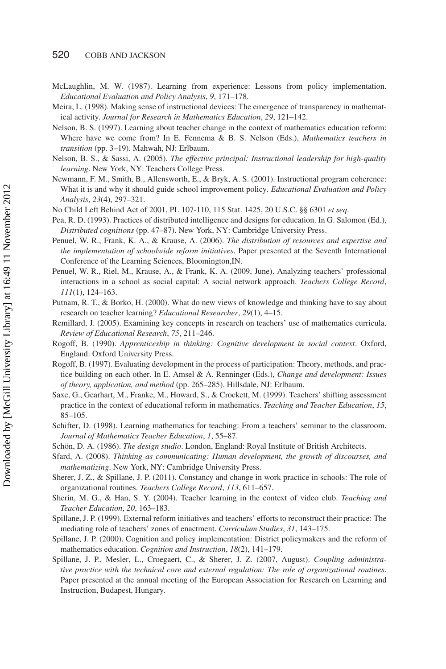#### 520 COBB AND JACKSON

- McLaughlin, M. W. (1987). Learning from experience: Lessons from policy implementation. *Educational Evaluation and Policy Analysis*, *9*, 171–178.
- Meira, L. (1998). Making sense of instructional devices: The emergence of transparency in mathematical activity. *Journal for Research in Mathematics Education*, *29*, 121–142.
- Nelson, B. S. (1997). Learning about teacher change in the context of mathematics education reform: Where have we come from? In E. Fennema & B. S. Nelson (Eds.), *Mathematics teachers in transition* (pp. 3–19). Mahwah, NJ: Erlbaum.
- Nelson, B. S., & Sassi, A. (2005). *The effective principal: Instructional leadership for high-quality learning*. New York, NY: Teachers College Press.
- Newmann, F. M., Smith, B., Allensworth, E., & Bryk, A. S. (2001). Instructional program coherence: What it is and why it should guide school improvement policy. *Educational Evaluation and Policy Analysis*, *23*(4), 297–321.
- No Child Left Behind Act of 2001, PL 107-110, 115 Stat. 1425, 20 U.S.C. §§ 6301 *et seq*.
- Pea, R. D. (1993). Practices of distributed intelligence and designs for education. In G. Salomon (Ed.), *Distributed cognitions* (pp. 47–87). New York, NY: Cambridge University Press.
- Penuel, W. R., Frank, K. A., & Krause, A. (2006). *The distribution of resources and expertise and the implementation of schoolwide reform initiatives*. Paper presented at the Seventh International Conference of the Learning Sciences, Bloomington,IN.
- Penuel, W. R., Riel, M., Krause, A., & Frank, K. A. (2009, June). Analyzing teachers' professional interactions in a school as social capital: A social network approach. *Teachers College Record*, *111*(1), 124–163.
- Putnam, R. T., & Borko, H. (2000). What do new views of knowledge and thinking have to say about research on teacher learning? *Educational Researcher*, *29*(1), 4–15.
- Remillard, J. (2005). Examining key concepts in research on teachers' use of mathematics curricula. *Review of Educational Research*, *75*, 211–246.
- Rogoff, B. (1990). *Apprenticeship in thinking: Cognitive development in social context*. Oxford, England: Oxford University Press.
- Rogoff, B. (1997). Evaluating development in the process of participation: Theory, methods, and practice building on each other. In E. Amsel & A. Renninger (Eds.), *Change and development: Issues of theory, application, and method* (pp. 265–285). Hillsdale, NJ: Erlbaum.
- Saxe, G., Gearhart, M., Franke, M., Howard, S., & Crockett, M. (1999). Teachers' shifting assessment practice in the context of educational reform in mathematics. *Teaching and Teacher Education*, *15*, 85–105.
- Schifter, D. (1998). Learning mathematics for teaching: From a teachers' seminar to the classroom. *Journal of Mathematics Teacher Education*, *1*, 55–87.
- Schön, D. A. (1986). *The design studio*. London, England: Royal Institute of British Architects.
- Sfard, A. (2008). *Thinking as communicating: Human development, the growth of discourses, and mathematizing*. New York, NY: Cambridge University Press.
- Sherer, J. Z., & Spillane, J. P. (2011). Constancy and change in work practice in schools: The role of organizational routines. *Teachers College Record*, *113*, 611–657.
- Sherin, M. G., & Han, S. Y. (2004). Teacher learning in the context of video club. *Teaching and Teacher Education*, *20*, 163–183.
- Spillane, J. P. (1999). External reform initiatives and teachers' efforts to reconstruct their practice: The mediating role of teachers' zones of enactment. *Curriculum Studies*, *31*, 143–175.
- Spillane, J. P. (2000). Cognition and policy implementation: District policymakers and the reform of mathematics education. *Cognition and Instruction*, *18*(2), 141–179.
- Spillane, J. P., Mesler, L., Croegaert, C., & Sherer, J. Z. (2007, August). *Coupling administrative practice with the technical core and external regulation: The role of organizational routines*. Paper presented at the annual meeting of the European Association for Research on Learning and Instruction, Budapest, Hungary.